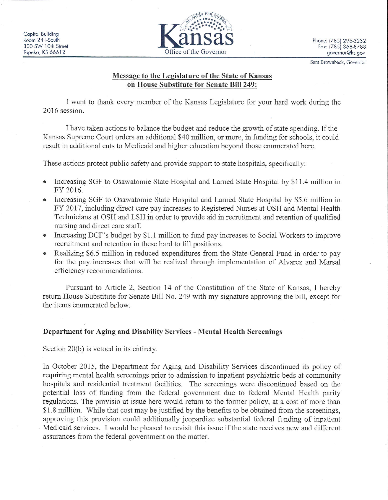

Sam Brownback, Governor

# Message to the Legislature of the State of Kansas on House Substitute for Senate Bill 249:

I want to thank every member of the Kansas Legislature for your hard work during the 2016 session.

I have taken actions to balance the budget and reduce the growth of state spending. If the Kansas Supreme Court orders an additional \$40 million, or more, in funding for schools, it could result in additional cuts to Medicaid and higher education beyond those enumerated here.

These actions protect public safety and provide support to state hospitals, specifically.

- Increasing SGF to Osawatomie State Hospital and Larned State Hospital by \$11.4 million in FY 2016.
- Increasing SGF to Osawatomie State Hospital and Larned State Hospital by \$5.6 million in  $\bullet$ FY 2017, including direct care pay increases to Registered Nurses at OSH and Mental Health Technicians at OSH and LSH in order to provide aid in recruitment and retention of qualified nursing and direct care staff.
- Increasing DCF's budget by \$1.1 million to fund pay increases to Social Workers to improve recruitment and retention in these hard to fill positions.
- Realizing \$6.5 million in reduced expenditures from the State General Fund in order to pay  $\bullet$ for the pay increases that will be realized through implementation of Alvarez and Marsal efficiency recommendations.

Pursuant to Article 2, Section 14 of the Constitution of the State of Kansas, I hereby return House Substitute for Senate Bill No. 249 with my signature approving the bill, except for the items enumerated below.

# Department for Aging and Disability Services - Mental Health Screenings

Section 20(b) is vetoed in its entirety.

In October 2015, the Department for Aging and Disability Services discontinued its policy of requiring mental health screenings prior to admission to inpatient psychiatric beds at community hospitals and residential treatment facilities. The screenings were discontinued based on the potential loss of funding from the federal government due to federal Mental Health parity regulations. The provisio at issue here would return to the former policy, at a cost of more than \$1.8 million. While that cost may be justified by the benefits to be obtained from the screenings, approving this provision could additionally jeopardize substantial federal funding of inpatient Medicaid services. I would be pleased to revisit this issue if the state receives new and different assurances from the federal government on the matter.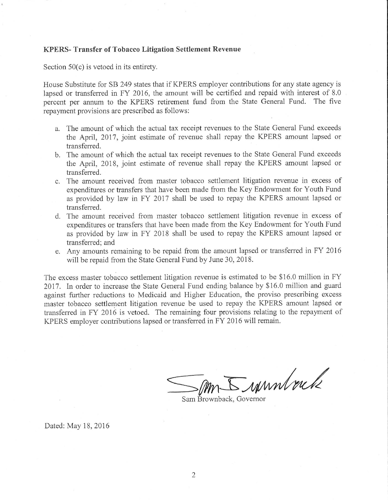## **KPERS-Transfer of Tobacco Litigation Settlement Revenue**

Section  $50(c)$  is vetoed in its entirety.

House Substitute for SB 249 states that if KPERS employer contributions for any state agency is lapsed or transferred in FY 2016, the amount will be certified and repaid with interest of 8.0 percent per annum to the KPERS retirement fund from the State General Fund. The five repayment provisions are prescribed as follows:

- a. The amount of which the actual tax receipt revenues to the State General Fund exceeds the April, 2017, joint estimate of revenue shall repay the KPERS amount lapsed or transferred.
- b. The amount of which the actual tax receipt revenues to the State General Fund exceeds the April, 2018, joint estimate of revenue shall repay the KPERS amount lapsed or transferred.
- c. The amount received from master tobacco settlement litigation revenue in excess of expenditures or transfers that have been made from the Key Endowment for Youth Fund as provided by law in FY 2017 shall be used to repay the KPERS amount lapsed or transferred.
- d. The amount received from master tobacco settlement litigation revenue in excess of expenditures or transfers that have been made from the Key Endowment for Youth Fund as provided by law in FY 2018 shall be used to repay the KPERS amount lapsed or transferred; and
- e. Any amounts remaining to be repaid from the amount lapsed or transferred in FY 2016 will be repaid from the State General Fund by June 30, 2018.

The excess master tobacco settlement litigation revenue is estimated to be \$16.0 million in FY 2017. In order to increase the State General Fund ending balance by \$16.0 million and guard against further reductions to Medicaid and Higher Education, the proviso prescribing excess master tobacco settlement litigation revenue be used to repay the KPERS amount lapsed or transferred in FY 2016 is vetoed. The remaining four provisions relating to the repayment of KPERS employer contributions lapsed or transferred in FY 2016 will remain.

- rannlock

Sam Brownback, Governor

Dated: May 18, 2016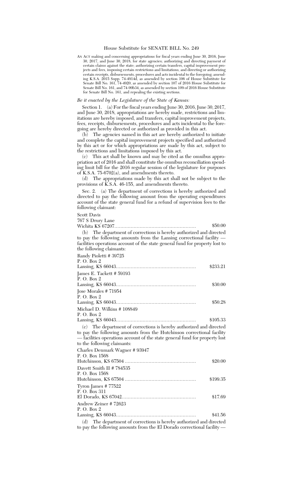### House Substitute for SENATE BILL No. 249

AN ACT making and concerning appropriations for fiscal years ending June 30, 2016, June 30, 2017, and June 30, 2018, for state agencies; authorizing and directing payment of certain claims against the state; authorizing certain transfers, capital improvement projects and fees, imposing certain restrictions and limitations, and directing or authorizing certain receipts, disbursements, procedures and acts incidental to the foregoing; amending K.S.A. 2015 Supp. 74-4914d, as amended by section 106 of House Substitute for Senate Bill No. 161, 74-4920, as amended by section 107 of 2016 House Substitute for Senate Bill No. 161, and 74-99b34, as amended by section 109 of 2016 House Substitute for Senate Bill No. 161, and repealing the existing sections.

#### *Be it enacted by the Legislature of the State of Kansas:*

Section 1. (a) For the fiscal years ending June 30, 2016, June 30, 2017, and June 30, 2018, appropriations are hereby made, restrictions and limitations are hereby imposed, and transfers, capital improvement projects, fees, receipts, disbursements, procedures and acts incidental to the foregoing are hereby directed or authorized as provided in this act.

(b) The agencies named in this act are hereby authorized to initiate and complete the capital improvement projects specified and authorized by this act or for which appropriations are made by this act, subject to the restrictions and limitations imposed by this act.

(c) This act shall be known and may be cited as the omnibus appropriation act of 2016 and shall constitute the omnibus reconciliation spending limit bill for the 2016 regular session of the legislature for purposes of K.S.A. 75-6702(a), and amendments thereto.

(d) The appropriations made by this act shall not be subject to the provisions of K.S.A. 46-155, and amendments thereto.

Sec. 2. (a) The department of corrections is hereby authorized and directed to pay the following amount from the operating expenditures account of the state general fund for a refund of supervision fees to the following claimant:

#### Scott Davis

| 767 S Drury Lane                                                                                                                                                                                                                                            | \$50.00  |  |
|-------------------------------------------------------------------------------------------------------------------------------------------------------------------------------------------------------------------------------------------------------------|----------|--|
|                                                                                                                                                                                                                                                             |          |  |
| (b) The department of corrections is hereby authorized and directed<br>to pay the following amounts from the Lansing correctional facility —<br>facilities operations account of the state general fund for property lost to<br>the following claimants:    |          |  |
| Randy Pioletti #39725                                                                                                                                                                                                                                       |          |  |
| P. O. Box 2                                                                                                                                                                                                                                                 | \$233.21 |  |
| James E. Tackett # 59193<br>P. O. Box 2                                                                                                                                                                                                                     |          |  |
|                                                                                                                                                                                                                                                             | \$30.00  |  |
| Jose Morales #71954<br>P. O. Box 2                                                                                                                                                                                                                          |          |  |
|                                                                                                                                                                                                                                                             | \$50.28  |  |
| Michael D. Wilkins #108849<br>P. O. Box 2                                                                                                                                                                                                                   |          |  |
|                                                                                                                                                                                                                                                             | \$105.33 |  |
| (c) The department of corrections is hereby authorized and directed<br>to pay the following amounts from the Hutchinson correctional facility<br>— facilities operations account of the state general fund for property lost<br>to the following claimants: |          |  |
| Charles Denmark Wagner #93947                                                                                                                                                                                                                               |          |  |
| P. O. Box 1568                                                                                                                                                                                                                                              | \$20.00  |  |
| Davett Smith II #784535<br>P. O. Box 1568                                                                                                                                                                                                                   |          |  |
|                                                                                                                                                                                                                                                             | \$199.35 |  |
| Tyron James #77522<br>P. O. Box 311                                                                                                                                                                                                                         |          |  |
|                                                                                                                                                                                                                                                             | \$17.69  |  |
| Andrew Zeiner #72623<br>P. O. Box 2                                                                                                                                                                                                                         |          |  |
|                                                                                                                                                                                                                                                             | \$41.56  |  |
| (d) The department of corrections is hereby authorized and directed                                                                                                                                                                                         |          |  |

to pay the following amounts from the El Dorado correctional facility —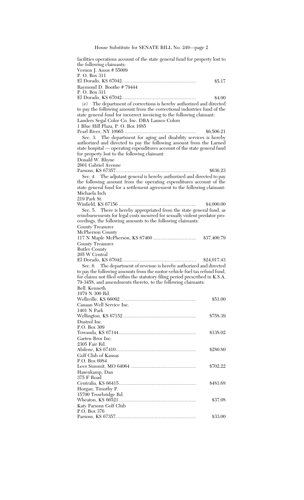House Substitute for SENATE BILL No. 249—page 2

| facilities operations account of the state general fund for property lost to<br>the following claimants:<br>Vernon J. Amos # 55009                |             |  |
|---------------------------------------------------------------------------------------------------------------------------------------------------|-------------|--|
| P. O. Box 311                                                                                                                                     |             |  |
|                                                                                                                                                   | \$5.17      |  |
| Raymond D. Boothe #79444                                                                                                                          |             |  |
| P. O. Box 311                                                                                                                                     | \$4.00      |  |
| (e) The department of corrections is hereby authorized and directed                                                                               |             |  |
| to pay the following amount from the correctional industries fund of the<br>state general fund for incorrect invoicing to the following claimant: |             |  |
| Landers Segal Color Co. Inc. DBA Lansco Colors<br>1 Blue Hill Plaza, P. O. Box 1685                                                               |             |  |
|                                                                                                                                                   | \$6,506.21  |  |
| Sec. 3. The department for aging and disability services is hereby<br>authorized and directed to pay the following amount from the Larned         |             |  |
| state hospital — operating expenditures account of the state general fund                                                                         |             |  |
| for property lost to the following claimant:                                                                                                      |             |  |
| Donald W. Rhyne                                                                                                                                   |             |  |
| 2601 Gabriel Avenue                                                                                                                               |             |  |
|                                                                                                                                                   | \$636.23    |  |
| Sec. 4. The adjutant general is hereby authorized and directed to pay                                                                             |             |  |
| the following amount from the operating expenditures account of the<br>state general fund for a settlement agreement to the following claimant:   |             |  |
| Michaela Isch                                                                                                                                     |             |  |
| 219 Park St.                                                                                                                                      |             |  |
|                                                                                                                                                   | \$4,000.00  |  |
| Sec. 5. There is hereby appropriated from the state general fund, as                                                                              |             |  |
| reimbursements for legal costs incurred for sexually violent predator pro-<br>ceedings, the following amounts to the following claimants:         |             |  |
| County Treasurer                                                                                                                                  |             |  |
| McPherson County                                                                                                                                  |             |  |
| County Treasurer                                                                                                                                  | \$37,400.79 |  |
| <b>Butler County</b>                                                                                                                              |             |  |
| 205 W Central                                                                                                                                     |             |  |
|                                                                                                                                                   | \$24,017.43 |  |
| Sec. 6. The department of revenue is hereby authorized and directed                                                                               |             |  |
| to pay the following amounts from the motor-vehicle fuel tax refund fund,                                                                         |             |  |
| for claims not filed within the statutory filing period prescribed in K.S.A.<br>79-3458, and amendments thereto, to the following claimants:      |             |  |
| Bell, Kenneth                                                                                                                                     |             |  |
| 1979 N 300 Rd.                                                                                                                                    |             |  |
|                                                                                                                                                   | \$51.00     |  |
| Canaan Well Service Inc.                                                                                                                          |             |  |
| 1401 N Park                                                                                                                                       |             |  |
|                                                                                                                                                   | \$758.39    |  |
| Dustrol Inc.<br>P.O. Box 309                                                                                                                      |             |  |
|                                                                                                                                                   | \$138.02    |  |
| Garten Bros Inc.                                                                                                                                  |             |  |
| 2305 Fair Rd.                                                                                                                                     |             |  |
|                                                                                                                                                   | \$280.80    |  |
| Golf Club of Kansas                                                                                                                               |             |  |
| P.O. Box 6984                                                                                                                                     |             |  |
|                                                                                                                                                   | \$702.22    |  |
| Hasenkamp, Dan<br>375 F Road                                                                                                                      |             |  |
|                                                                                                                                                   | \$481.68    |  |
| Horgan, Timothy P.                                                                                                                                |             |  |
| 15700 Trowbridge Rd.                                                                                                                              |             |  |
|                                                                                                                                                   | \$37.08     |  |
| Katy Parsons Golf Club                                                                                                                            |             |  |
| P.O. Box 376                                                                                                                                      | \$33.00     |  |
|                                                                                                                                                   |             |  |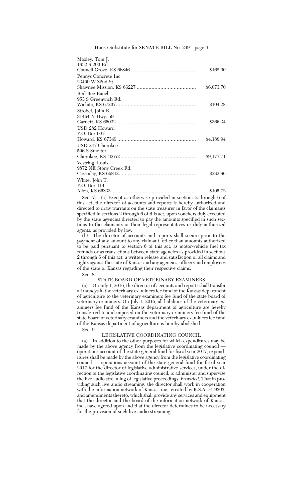House Substitute for SENATE BILL No. 249—page 3

| Moxley, Tom J.          |            |
|-------------------------|------------|
| 1852 S 200 Rd.          |            |
|                         | \$162.00   |
| Pennys Concrete Inc.    |            |
| 23400 W 82nd St.        |            |
|                         | \$6,073.70 |
| Red Bee Ranch           |            |
| 953 S Greenwich Rd.     |            |
|                         | \$104.28   |
| Strobel, John R.        |            |
| 31464 N Hwy. 59         |            |
|                         | \$366.34   |
| USD 282 Howard          |            |
| P.O. Box $607$          |            |
|                         | \$4,188.94 |
| USD 247 Cherokee        |            |
| 506 S Smelter           |            |
|                         | \$9,177.71 |
| Vestring, Louis         |            |
| 9872 NE Stony Creek Rd. |            |
|                         | \$282.96   |
| White, John T.          |            |
| P.O. Box 114            |            |
|                         | \$105.72   |

Sec. 7. (a) Except as otherwise provided in sections 2 through 6 of this act, the director of accounts and reports is hereby authorized and directed to draw warrants on the state treasurer in favor of the claimants specified in sections 2 through 6 of this act, upon vouchers duly executed by the state agencies directed to pay the amounts specified in such sections to the claimants or their legal representatives or duly authorized agents, as provided by law.

(b) The director of accounts and reports shall secure prior to the payment of any amount to any claimant, other than amounts authorized to be paid pursuant to section 6 of this act, as motor-vehicle fuel tax refunds or as transactions between state agencies as provided in sections 2 through 6 of this act, a written release and satisfaction of all claims and rights against the state of Kansas and any agencies, officers and employees of the state of Kansas regarding their respective claims.

Sec. 8.

## STATE BOARD OF VETERINARY EXAMINERS

(a) On July 1, 2016, the director of accounts and reports shall transfer all moneys in the veterinary examiners fee fund of the Kansas department of agriculture to the veterinary examiners fee fund of the state board of veterinary examiners. On July 1, 2016, all liabilities of the veterinary examiners fee fund of the Kansas department of agriculture are hereby transferred to and imposed on the veterinary examiners fee fund of the state board of veterinary examiners and the veterinary examiners fee fund of the Kansas department of agriculture is hereby abolished.

Sec. 9.

## LEGISLATIVE COORDINATING COUNCIL

(a) In addition to the other purposes for which expenditures may be made by the above agency from the legislative coordinating council operations account of the state general fund for fiscal year 2017, expenditures shall be made by the above agency from the legislative coordinating council — operations account of the state general fund for fiscal year 2017 for the director of legislative administrative services, under the direction of the legislative coordinating council, to administer and supervise the live audio streaming of legislative proceedings: *Provided,* That in providing such live audio streaming, the director shall work in cooperation with the information network of Kansas, inc., created by K.S.A. 74-9303, and amendments thereto, which shall provide any services and equipment that the director and the board of the information network of Kansas, inc., have agreed upon and that the director determines to be necessary for the provision of such live audio streaming.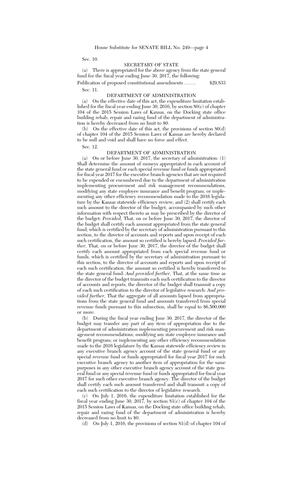Sec. 10.

#### SECRETARY OF STATE

(a) There is appropriated for the above agency from the state general fund for the fiscal year ending June 30, 2017, the following:

Publication of proposed constitutional amendments ........ \$29,833 Sec. 11.

DEPARTMENT OF ADMINISTRATION

(a) On the effective date of this act, the expenditure limitation established for the fiscal year ending June 30, 2016, by section 80(c) of chapter 104 of the 2015 Session Laws of Kansas, on the Docking state office building rehab, repair and razing fund of the department of administration is hereby decreased from no limit to \$0.

(b) On the effective date of this act, the provisions of section 80(d) of chapter 104 of the 2015 Session Laws of Kansas are hereby declared to be null and void and shall have no force and effect.

Sec. 12.

#### DEPARTMENT OF ADMINISTRATION

(a) On or before June 30, 2017, the secretary of administration: (1) Shall determine the amount of moneys appropriated in each account of the state general fund or each special revenue fund or funds appropriated for fiscal year 2017 for the executive branch agencies that are not required to be expended or encumbered due to the department of administration implementing procurement and risk management recommendations, modifying any state employee insurance and benefit program, or implementing any other efficiency recommendation made to the 2016 legislature by the Kansas statewide efficiency review; and (2) shall certify each such amount to the director of the budget, accompanied by such other information with respect thereto as may be prescribed by the director of the budget: *Provided,* That, on or before June 30, 2017, the director of the budget shall certify each amount appropriated from the state general fund, which is certified by the secretary of administration pursuant to this section, to the director of accounts and reports and upon receipt of each such certification, the amount so certified is hereby lapsed: *Provided further,* That, on or before June 30, 2017, the director of the budget shall certify each amount appropriated from each special revenue fund or funds, which is certified by the secretary of administration pursuant to this section, to the director of accounts and reports and upon receipt of each such certification, the amount so certified is hereby transferred to the state general fund: *And provided further,* That, at the same time as the director of the budget transmits each such certification to the director of accounts and reports, the director of the budget shall transmit a copy of each such certification to the director of legislative research: *And provided further,* That the aggregate of all amounts lapsed from appropriations from the state general fund and amounts transferred from special revenue funds pursuant to this subsection, shall be equal to \$6,500,000 or more.

(b) During the fiscal year ending June 30, 2017, the director of the budget may transfer any part of any item of appropriation due to the department of administration implementing procurement and risk management recommendations; modifying any state employee insurance and benefit program; or implementing any other efficiency recommendation made to the 2016 legislature by the Kansas statewide efficiency review in any executive branch agency account of the state general fund or any special revenue fund or funds appropriated for fiscal year 2017 for such executive branch agency to another item of appropriation for the same purposes in any other executive branch agency account of the state general fund or any special revenue fund or funds appropriated for fiscal year 2017 for such other executive branch agency. The director of the budget shall certify each such amount transferred and shall transmit a copy of each such certification to the director of legislative research.

(c) On July 1, 2016, the expenditure limitation established for the fiscal year ending June 30, 2017, by section 81(c) of chapter 104 of the 2015 Session Laws of Kansas, on the Docking state office building rehab, repair and razing fund of the department of administration is hereby decreased from no limit to \$0.

(d) On July 1, 2016, the provisions of section 81(d) of chapter 104 of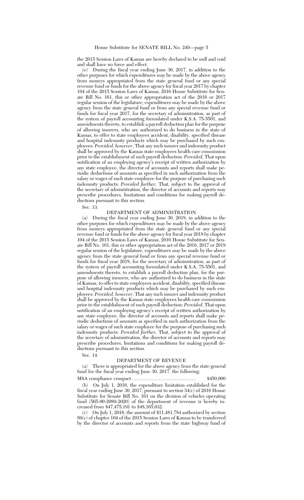the 2015 Session Laws of Kansas are hereby declared to be null and void and shall have no force and effect.

(e) During the fiscal year ending June 30, 2017, in addition to the other purposes for which expenditures may be made by the above agency from moneys appropriated from the state general fund or any special revenue fund or funds for the above agency for fiscal year 2017 by chapter 104 of the 2015 Session Laws of Kansas, 2016 House Substitute for Senate Bill No. 161, this or other appropriation act of the 2016 or 2017 regular session of the legislature, expenditures may be made by the above agency from the state general fund or from any special revenue fund or funds for fiscal year 2017, for the secretary of administration, as part of the system of payroll accounting formulated under K.S.A. 75-5501, and amendments thereto, to establish a payroll deduction plan for the purpose of allowing insurers, who are authorized to do business in the state of Kansas, to offer to state employees accident, disability, specified disease and hospital indemnity products which may be purchased by such employees: *Provided, however*, That any such insurer and indemnity product shall be approved by the Kansas state employees health care commission prior to the establishment of such payroll deduction: *Provided,* That upon notification of an employing agency's receipt of written authorization by any state employee, the director of accounts and reports shall make periodic deductions of amounts as specified in such authorization from the salary or wages of such state employee for the purpose of purchasing such indemnity products: *Provided further,* That, subject to the approval of the secretary of administration, the director of accounts and reports may prescribe procedures, limitations and conditions for making payroll deductions pursuant to this section.

Sec. 13.

## DEPARTMENT OF ADMINISTRATION

(a) During the fiscal year ending June 30, 2018, in addition to the other purposes for which expenditures may be made by the above agency from moneys appropriated from the state general fund or any special revenue fund or funds for the above agency for fiscal year 2018 by chapter 104 of the 2015 Session Laws of Kansas, 2016 House Substitute for Senate Bill No. 161, this or other appropriation act of the 2016, 2017 or 2018 regular session of the legislature, expenditures may be made by the above agency from the state general fund or from any special revenue fund or funds for fiscal year 2018, for the secretary of administration, as part of the system of payroll accounting formulated under K.S.A. 75-5501, and amendments thereto, to establish a payroll deduction plan, for the purpose of allowing insurers, who are authorized to do business in the state of Kansas, to offer to state employees accident, disability, specified disease and hospital indemnity products which may be purchased by such employees: *Provided, however*, That any such insurer and indemnity product shall be approved by the Kansas state employees health care commission prior to the establishment of such payroll deduction: *Provided,* That upon notification of an employing agency's receipt of written authorization by any state employee, the director of accounts and reports shall make periodic deductions of amounts as specified in such authorization from the salary or wages of such state employee for the purpose of purchasing such indemnity products: *Provided further,* That, subject to the approval of the secretary of administration, the director of accounts and reports may prescribe procedures, limitations and conditions for making payroll deductions pursuant to this section.

Sec. 14.

#### DEPARTMENT OF REVENUE

There is appropriated for the above agency from the state general fund for the fiscal year ending June 30, 2017, the following:

MSA compliance compact ........................................... \$450,000

(b) On July 1, 2016, the expenditure limitation established for the fiscal year ending June 30, 2017, pursuant to section 34(c) of 2016 House Substitute for Senate Bill No. 161 on the division of vehicles operating fund (565-00-2089-2020) of the department of revenue is hereby increased from \$47,475,191 to \$48,165,032.

(c) On July 1, 2016, the amount of \$11,481,784 authorized by section 89(c) of chapter 104 of the 2015 Session Laws of Kansas to be transferred by the director of accounts and reports from the state highway fund of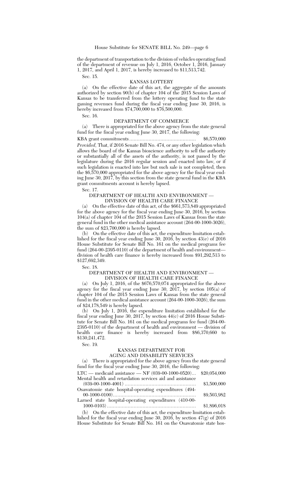the department of transportation to the division of vehicles operating fund of the department of revenue on July 1, 2016, October 1, 2016, January 1, 2017, and April 1, 2017, is hereby increased to \$11,513,742.

Sec. 15.

## KANSAS LOTTERY

(a) On the effective date of this act, the aggregate of the amounts authorized by section 90(b) of chapter 104 of the 2015 Session Laws of Kansas to be transferred from the lottery operating fund to the state gaming revenues fund during the fiscal year ending June 30, 2016, is hereby increased from \$74,700,000 to \$76,500,000.

Sec. 16.

#### DEPARTMENT OF COMMERCE

(a) There is appropriated for the above agency from the state general fund for the fiscal year ending June 30, 2017, the following:

KBA grant commitments ............................................. \$6,570,000 *Provided,* That, if 2016 Senate Bill No. 474, or any other legislation which allows the board of the Kansas bioscience authority to sell the authority or substantially all of the assets of the authority, is not passed by the legislature during the 2016 regular session and enacted into law, or if such legislation is enacted into law but such sale is not completed, then the \$6,570,000 appropriated for the above agency for the fiscal year ending June 30, 2017, by this section from the state general fund in the KBA grant commitments account is hereby lapsed.

Sec. 17.

## DEPARTMENT OF HEALTH AND ENVIRONMENT — DIVISION OF HEALTH CARE FINANCE

(a) On the effective date of this act, of the \$661,573,849 appropriated for the above agency for the fiscal year ending June 30, 2016, by section 104(a) of chapter 104 of the 2015 Session Laws of Kansas from the state general fund in the other medical assistance account (264-00-1000-3026), the sum of \$23,700,000 is hereby lapsed.

(b) On the effective date of this act, the expenditure limitation established for the fiscal year ending June 30, 2016, by section 43(e) of 2016 House Substitute for Senate Bill No. 161 on the medical programs fee fund (264-00-2395-0110) of the department of health and environment division of health care finance is hereby increased from \$91,292,513 to \$127,692,349.

Sec. 18.

#### DEPARTMENT OF HEALTH AND ENVIRONMENT -DIVISION OF HEALTH CARE FINANCE

(a) On July 1, 2016, of the \$676,570,074 appropriated for the above agency for the fiscal year ending June 30, 2017, by section 105(a) of chapter 104 of the 2015 Session Laws of Kansas from the state general fund in the other medical assistance account (264-00-1000-3026), the sum of \$24,178,549 is hereby lapsed.

(b) On July 1, 2016, the expenditure limitation established for the fiscal year ending June 30, 2017, by section 44(c) of 2016 House Substitute for Senate Bill No. 161 on the medical programs fee fund (264-00- 2395-0110) of the department of health and environment — division of health care finance is hereby increased from \$86,370,660 to \$130,241,472.

#### Sec. 19.

#### KANSAS DEPARTMENT FOR AGING AND DISABILITY SERVICES

(a) There is appropriated for the above agency from the state general fund for the fiscal year ending June 30, 2016, the following:

LTC — medicaid assistance — NF (039-00-1000-0520)... \$20,054,000 Mental health and retardation services aid and assistance

(039-00-1000-4001) ................................................ \$3,500,000 Osawatomie state hospital-operating expenditures (494-

00-1000-0100)........................................................ \$9,503,982 Larned state hospital-operating expenditures (410-00-

1000-0103) ............................................................ \$1,896,018

(b) On the effective date of this act, the expenditure limitation established for the fiscal year ending June 30, 2016, by section 47(g) of 2016 House Substitute for Senate Bill No. 161 on the Osawatomie state hos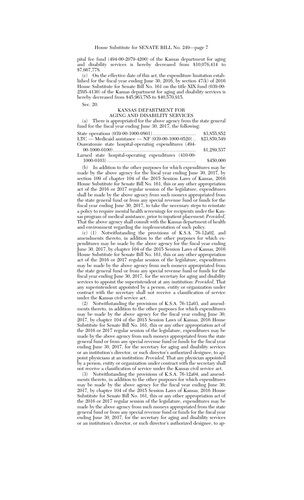pital fee fund (494-00-2079-4200) of the Kansas department for aging and disability services is hereby decreased from \$10,076,414 to \$7,667,778.

(c) On the effective date of this act, the expenditure limitation established for the fiscal year ending June 30, 2016, by section 47(k) of 2016 House Substitute for Senate Bill No. 161 on the title XIX fund (039-00- 2595-4130) of the Kansas department for aging and disability services is hereby decreased from \$45,963,785 to \$40,570,915.

Sec. 20.

#### KANSAS DEPARTMENT FOR AGING AND DISABILITY SERVICES

(a) There is appropriated for the above agency from the state general fund for the fiscal year ending June 30, 2017, the following:

 $\begin{array}{lll} \text{State operations } (039\text{-}00\text{-}1000\text{-}0801) \dots . \dots . \dots . \dots . \dots . \quad \text{\$3,855,852}\\ \text{LTC}\longrightarrow \text{Medicaid assistance} \longrightarrow \text{NF } (039\text{-}00\text{-}1000\text{-}0520) \dots \quad \text{\$23,859,549} \end{array}$  ${\rm LTC}$  — Medicaid assistance — NF  $(039\text{-}00\text{-}1000\text{-}0520)$  ..

Osawatomie state hospital-operating expenditures (494- 00-1000-0100)........................................................ \$1,289,537

Larned state hospital-operating expenditures (410-00- 1000-0103) ............................................................ \$450,000

(b) In addition to the other purposes for which expenditures may be made by the above agency for the fiscal year ending June 30, 2017, by section 109 of chapter 104 of the 2015 Session Laws of Kansas, 2016 House Substitute for Senate Bill No. 161, this or any other appropriation act of the 2016 or 2017 regular session of the legislature, expenditures shall be made by the above agency from such moneys appropriated from the state general fund or from any special revenue fund or funds for the fiscal year ending June 30, 2017, to take the necessary steps to reinstate a policy to require mental health screenings for recipients under the Kansas program of medical assistance, prior to inpatient placement: *Provided,* That the above agency shall consult with the Kansas department of health and environment regarding the implementation of such policy.

(c) (1) Notwithstanding the provisions of K.S.A. 76-12a02, and amendments thereto, in addition to the other purposes for which expenditures may be made by the above agency for the fiscal year ending June 30, 2017, by chapter 104 of the 2015 Session Laws of Kansas, 2016 House Substitute for Senate Bill No. 161, this or any other appropriation act of the 2016 or 2017 regular session of the legislature, expenditures may be made by the above agency from such moneys appropriated from the state general fund or from any special revenue fund or funds for the fiscal year ending June 30, 2017, for the secretary for aging and disability services to appoint the superintendent at any institution: *Provided,* That any superintendent appointed by a person, entity or organization under contract with the secretary shall not receive a classification of service under the Kansas civil service act.<br>(2) Notwithstanding the provi

Notwithstanding the provisions of K.S.A. 76-12a03, and amendments thereto, in addition to the other purposes for which expenditures may be made by the above agency for the fiscal year ending June 30, 2017, by chapter 104 of the 2015 Session Laws of Kansas, 2016 House Substitute for Senate Bill No. 161, this or any other appropriation act of the 2016 or 2017 regular session of the legislature, expenditures may be made by the above agency from such moneys appropriated from the state general fund or from any special revenue fund or funds for the fiscal year ending June 30, 2017, for the secretary for aging and disability services or an institution's director, or such director's authorized designee, to appoint physicians at an institution: *Provided,* That any physician appointed by a person, entity or organization under contract with the secretary shall not receive a classification of service under the Kansas civil service act.

(3) Notwithstanding the provisions of K.S.A. 76-12a04, and amendments thereto, in addition to the other purposes for which expenditures may be made by the above agency for the fiscal year ending June 30, 2017, by chapter 104 of the 2015 Session Laws of Kansas, 2016 House Substitute for Senate Bill No. 161, this or any other appropriation act of the 2016 or 2017 regular session of the legislature, expenditures may be made by the above agency from such moneys appropriated from the state general fund or from any special revenue fund or funds for the fiscal year ending June 30, 2017, for the secretary for aging and disability services or an institution's director, or such director's authorized designee, to ap-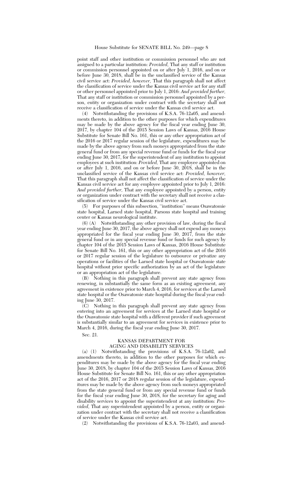#### House Substitute for SENATE BILL No. 249—page 8

point staff and other institution or commission personnel who are not assigned to a particular institution: *Provided,* That any staff or institution or commission personnel appointed on or after July 1, 2016, and on or before June 30, 2018, shall be in the unclassified service of the Kansas civil service act: *Provided, however,* That this paragraph shall not affect the classification of service under the Kansas civil service act for any staff or other personnel appointed prior to July 1, 2016: *And provided further,* That any staff or institution or commission personnel appointed by a person, entity or organization under contract with the secretary shall not receive a classification of service under the Kansas civil service act.

(4) Notwithstanding the provisions of K.S.A. 76-12a05, and amendments thereto, in addition to the other purposes for which expenditures may be made by the above agency for the fiscal year ending June 30, 2017, by chapter 104 of the 2015 Session Laws of Kansas, 2016 House Substitute for Senate Bill No. 161, this or any other appropriation act of the 2016 or 2017 regular session of the legislature, expenditures may be made by the above agency from such moneys appropriated from the state general fund or from any special revenue fund or funds for the fiscal year ending June 30, 2017, for the superintendent of any institution to appoint employees at such institution: *Provided,* That any employee appointed on or after July 1, 2016, and on or before June 30, 2018, shall be in the unclassified service of the Kansas civil service act: *Provided, however,* That this paragraph shall not affect the classification of service under the Kansas civil service act for any employee appointed prior to July 1, 2016: *And provided further,* That any employee appointed by a person, entity or organization under contract with the secretary shall not receive a classification of service under the Kansas civil service act.

(5) For purposes of this subsection, ''institution'' means Osawatomie state hospital, Larned state hospital, Parsons state hospital and training center or Kansas neurological institute.

(6) (A) Notwithstanding any other provision of law, during the fiscal year ending June 30, 2017, the above agency shall not expend any moneys appropriated for the fiscal year ending June 30, 2017, from the state general fund or in any special revenue fund or funds for such agency by chapter 104 of the 2015 Session Laws of Kansas, 2016 House Substitute for Senate Bill No. 161, this or any other appropriation act of the 2016 or 2017 regular session of the legislature to outsource or privatize any operations or facilities of the Larned state hospital or Osawatomie state hospital without prior specific authorization by an act of the legislature or an appropriation act of the legislature.

(B) Nothing in this paragraph shall prevent any state agency from renewing, in substantially the same form as an existing agreement, any agreement in existence prior to March 4, 2016, for services at the Larned state hospital or the Osawatomie state hospital during the fiscal year ending June 30, 2017.

(C) Nothing in this paragraph shall prevent any state agency from entering into an agreement for services at the Larned state hospital or the Osawatomie state hospital with a different provider if such agreement is substantially similar to an agreement for services in existence prior to March 4, 2016, during the fiscal year ending June 30, 2017.

Sec. 21.

## KANSAS DEPARTMENT FOR AGING AND DISABILITY SERVICES

(a) (1) Notwithstanding the provisions of K.S.A. 76-12a02, and amendments thereto, in addition to the other purposes for which expenditures may be made by the above agency for the fiscal year ending June 30, 2018, by chapter 104 of the 2015 Session Laws of Kansas,  $201\overline{6}$ House Substitute for Senate Bill No. 161, this or any other appropriation act of the 2016, 2017 or 2018 regular session of the legislature, expenditures may be made by the above agency from such moneys appropriated from the state general fund or from any special revenue fund or funds for the fiscal year ending June 30, 2018, for the secretary for aging and disability services to appoint the superintendent at any institution: *Provided,* That any superintendent appointed by a person, entity or organization under contract with the secretary shall not receive a classification of service under the Kansas civil service act.

(2) Notwithstanding the provisions of K.S.A. 76-12a03, and amend-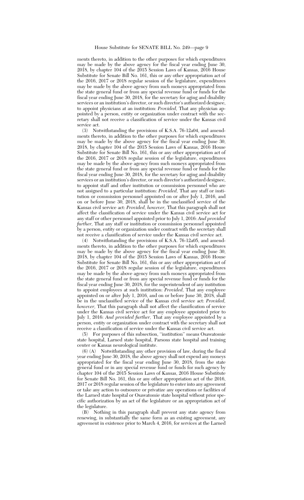ments thereto, in addition to the other purposes for which expenditures may be made by the above agency for the fiscal year ending June 30, 2018, by chapter 104 of the 2015 Session Laws of Kansas, 2016 House Substitute for Senate Bill No. 161, this or any other appropriation act of the 2016, 2017 or 2018 regular session of the legislature, expenditures may be made by the above agency from such moneys appropriated from the state general fund or from any special revenue fund or funds for the fiscal year ending June 30, 2018, for the secretary for aging and disability services or an institution's director, or such director's authorized designee, to appoint physicians at an institution: *Provided,* That any physician appointed by a person, entity or organization under contract with the secretary shall not receive a classification of service under the Kansas civil service act.

(3) Notwithstanding the provisions of K.S.A. 76-12a04, and amendments thereto, in addition to the other purposes for which expenditures may be made by the above agency for the fiscal year ending June 30, 2018, by chapter 104 of the 2015 Session Laws of Kansas, 2016 House Substitute for Senate Bill No. 161, this or any other appropriation act of the 2016, 2017 or 2018 regular session of the legislature, expenditures may be made by the above agency from such moneys appropriated from the state general fund or from any special revenue fund or funds for the fiscal year ending June 30, 2018, for the secretary for aging and disability services or an institution's director, or such director's authorized designee, to appoint staff and other institution or commission personnel who are not assigned to a particular institution: *Provided,* That any staff or institution or commission personnel appointed on or after July 1, 2016, and on or before June 30, 2018, shall be in the unclassified service of the Kansas civil service act: *Provided, however,* That this paragraph shall not affect the classification of service under the Kansas civil service act for any staff or other personnel appointed prior to July 1, 2016: *And provided further,* That any staff or institution or commission personnel appointed by a person, entity or organization under contract with the secretary shall not receive a classification of service under the Kansas civil service act.

(4) Notwithstanding the provisions of K.S.A. 76-12a05, and amendments thereto, in addition to the other purposes for which expenditures may be made by the above agency for the fiscal year ending June 30, 2018, by chapter 104 of the 2015 Session Laws of Kansas, 2016 House Substitute for Senate Bill No. 161, this or any other appropriation act of the 2016, 2017 or 2018 regular session of the legislature, expenditures may be made by the above agency from such moneys appropriated from the state general fund or from any special revenue fund or funds for the fiscal year ending June 30, 2018, for the superintendent of any institution to appoint employees at such institution: *Provided,* That any employee appointed on or after July 1, 2016, and on or before June 30, 2018, shall be in the unclassified service of the Kansas civil service act: *Provided, however,* That this paragraph shall not affect the classification of service under the Kansas civil service act for any employee appointed prior to July 1, 2016: *And provided further,* That any employee appointed by a person, entity or organization under contract with the secretary shall not receive a classification of service under the Kansas civil service act.

(5) For purposes of this subsection, ''institution'' means Osawatomie state hospital, Larned state hospital, Parsons state hospital and training center or Kansas neurological institute.

(6) (A) Notwithstanding any other provision of law, during the fiscal year ending June 30, 2018, the above agency shall not expend any moneys appropriated for the fiscal year ending June 30, 2018, from the state general fund or in any special revenue fund or funds for such agency by chapter 104 of the 2015 Session Laws of Kansas, 2016 House Substitute for Senate Bill No. 161, this or any other appropriation act of the 2016, 2017 or 2018 regular session of the legislature to enter into any agreement or take any action to outsource or privatize any operations or facilities of the Larned state hospital or Osawatomie state hospital without prior specific authorization by an act of the legislature or an appropriation act of the legislature.

(B) Nothing in this paragraph shall prevent any state agency from renewing, in substantially the same form as an existing agreement, any agreement in existence prior to March 4, 2016, for services at the Larned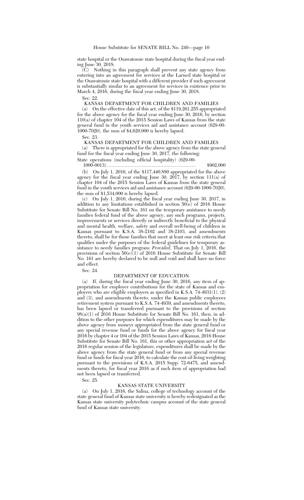state hospital or the Osawatomie state hospital during the fiscal year ending June 30, 2018.

 $\tilde{C}$  Nothing in this paragraph shall prevent any state agency from entering into an agreement for services at the Larned state hospital or the Osawatomie state hospital with a different provider if such agreement is substantially similar to an agreement for services in existence prior to March 4, 2016, during the fiscal year ending June 30, 2018.

Sec. 22.

KANSAS DEPARTMENT FOR CHILDREN AND FAMILIES

(a) On the effective date of this act, of the \$119,261,255 appropriated for the above agency for the fiscal year ending June 30, 2016, by section 110(a) of chapter 104 of the 2015 Session Laws of Kansas from the state general fund in the youth services aid and assistance account (629-00- 1000-7020), the sum of \$4,620,000 is hereby lapsed.

Sec. 23.

#### KANSAS DEPARTMENT FOR CHILDREN AND FAMILIES

(a) There is appropriated for the above agency from the state general fund for the fiscal year ending June 30, 2017, the following:

State operations (including official hospitality) (629-00-

1000-0013) ............................................................ \$902,000 (b) On July 1, 2016, of the \$117,440,880 appropriated for the above agency for the fiscal year ending June  $30, 2017$ , by section 111(a) of chapter 104 of the 2015 Session Laws of Kansas from the state general fund in the youth services aid and assistance account (629-00-1000-7020), the sum of \$1,534,000 is hereby lapsed.

(c) On July 1, 2016, during the fiscal year ending June 30, 2017, in addition to any limitations established in section 50(e) of 2016 House Substitute for Senate Bill No. 161 on the temporary assistance to needy families federal fund of the above agency, any such programs, projects, improvements or services directly or indirectly beneficial to the physical and mental health, welfare, safety and overall well-being of children in Kansas pursuant to K.S.A. 38-2102 and 38-2103, and amendments thereto, shall be for those families that meet at least one risk criteria that qualifies under the purposes of the federal guidelines for temporary assistance to needy families program: *Provided,* That on July 1, 2016, the provisions of section  $50(e)(1)$  of 2016 House Substitute for Senate Bill No. 161 are hereby declared to be null and void and shall have no force and effect.

Sec. 24.

## DEPARTMENT OF EDUCATION

(a) If, during the fiscal year ending June 30, 2016, any item of appropriation for employer contributions for the state of Kansas and employers who are eligible employers as specified in K.S.A. 74-4931(1), (2) and (3), and amendments thereto, under the Kansas public employees retirement system pursuant to K.S.A. 74-4939, and amendments thereto, has been lapsed or transferred pursuant to the provisions of section  $98(a)(1)$  of  $\overline{2016}$  House Substitute for Senate Bill No. 161, then, in addition to the other purposes for which expenditures may be made by the above agency from moneys appropriated from the state general fund or any special revenue fund or funds for the above agency for fiscal year 2016 by chapter 4 or 104 of the 2015 Session Laws of Kansas, 2016 House Substitute for Senate Bill No. 161, this or other appropriation act of the 2016 regular session of the legislature, expenditures shall be made by the above agency from the state general fund or from any special revenue fund or funds for fiscal year 2016, to calculate the cost-of-living weighting pursuant to the provisions of K.S.A. 2015 Supp. 72-6475, and amendments thereto, for fiscal year 2016 as if such item of appropriation had not been lapsed or transferred.

Sec. 25.

## KANSAS STATE UNIVERSITY

(a) On July 1, 2016, the Salina, college of technology account of the state general fund of Kansas state university is hereby redesignated as the Kansas state university polytechnic campus account of the state general fund of Kansas state university.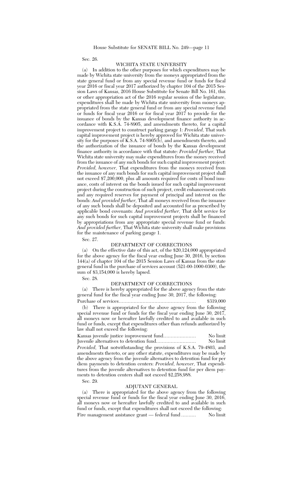Sec. 26.

#### WICHITA STATE UNIVERSITY

(a) In addition to the other purposes for which expenditures may be made by Wichita state university from the moneys appropriated from the state general fund or from any special revenue fund or funds for fiscal year 2016 or fiscal year 2017 authorized by chapter 104 of the 2015 Session Laws of Kansas, 2016 House Substitute for Senate Bill No. 161, this or other appropriation act of the 2016 regular session of the legislature, expenditures shall be made by Wichita state university from moneys appropriated from the state general fund or from any special revenue fund or funds for fiscal year 2016 or for fiscal year 2017 to provide for the issuance of bonds by the Kansas development finance authority in accordance with K.S.A. 74-8905, and amendments thereto, for a capital improvement project to construct parking garage 1: *Provided,* That such capital improvement project is hereby approved for Wichita state university for the purposes of K.S.A. 74-8905(b), and amendments thereto, and the authorization of the issuance of bonds by the Kansas development finance authority in accordance with that statute: *Provided further,* That Wichita state university may make expenditures from the money received from the issuance of any such bonds for such capital improvement project: *Provided, however,* That expenditures from the moneys received from the issuance of any such bonds for such capital improvement project shall not exceed \$7,200,000, plus all amounts required for costs of bond issuance, costs of interest on the bonds issued for such capital improvement project during the construction of such project, credit enhancement costs and any required reserves for payment of principal and interest on the bonds: *And provided further,* That all moneys received from the issuance of any such bonds shall be deposited and accounted for as prescribed by applicable bond covenants: *And provided further,* That debt service for any such bonds for such capital improvement projects shall be financed by appropriations from any appropriate special revenue fund or funds: *And provided further,* That Wichita state university shall make provisions for the maintenance of parking garage 1.

Sec. 27.

## DEPARTMENT OF CORRECTIONS

(a) On the effective date of this act, of the \$20,124,000 appropriated for the above agency for the fiscal year ending June 30, 2016, by section 144(a) of chapter 104 of the 2015 Session Laws of Kansas from the state general fund in the purchase of services account (521-00-1000-0300), the sum of \$3,154,000 is hereby lapsed.

Sec. 28.

## DEPARTMENT OF CORRECTIONS

(a) There is hereby appropriated for the above agency from the state general fund for the fiscal year ending June 30, 2017, the following: Purchase of services.................................................... \$319,000

(b) There is appropriated for the above agency from the following special revenue fund or funds for the fiscal year ending June 30, 2017, all moneys now or hereafter lawfully credited to and available in such fund or funds, except that expenditures other than refunds authorized by law shall not exceed the following:

Kansas juvenile justice improvement fund...................... No limit Juvenile alternatives to detention fund........................... No limit *Provided,* That notwithstanding the provisions of K.S.A. 79-4803, and amendments thereto, or any other statute, expenditures may be made by the above agency from the juvenile alternatives to detention fund for per diem payments to detention centers: *Provided, however,* That expenditures from the juvenile alternatives to detention fund for per diem payments to detention centers shall not exceed \$2,258,988.

#### Sec. 29.

### ADJUTANT GENERAL

(a) There is appropriated for the above agency from the following special revenue fund or funds for the fiscal year ending June 30, 2016, all moneys now or hereafter lawfully credited to and available in such fund or funds, except that expenditures shall not exceed the following: Fire management assistance grant — federal fund .......... No limit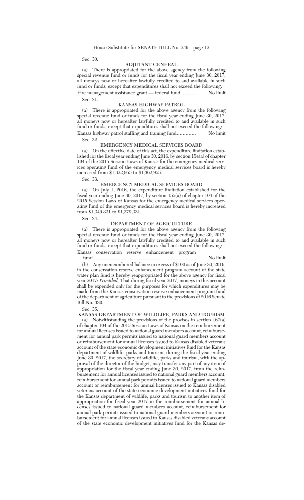Sec. 30.

#### ADJUTANT GENERAL

(a) There is appropriated for the above agency from the following special revenue fund or funds for the fiscal year ending June 30, 2017, all moneys now or hereafter lawfully credited to and available in such fund or funds, except that expenditures shall not exceed the following: Fire management assistance grant — federal fund .......... No limit

Sec. 31.

#### KANSAS HIGHWAY PATROL

(a) There is appropriated for the above agency from the following special revenue fund or funds for the fiscal year ending June 30, 2017 all moneys now or hereafter lawfully credited to and available in such fund or funds, except that expenditures shall not exceed the following: Kansas highway patrol staffing and training fund............. No limit

Sec. 32.

### EMERGENCY MEDICAL SERVICES BOARD

(a) On the effective date of this act, the expenditure limitation established for the fiscal year ending June 30, 2016, by section 154(a) of chapter 104 of the 2015 Session Laws of Kansas for the emergency medical services operating fund of the emergency medical services board is hereby increased from \$1,322,955 to \$1,362,955.

Sec. 33.

## EMERGENCY MEDICAL SERVICES BOARD

(a) On July 1, 2016, the expenditure limitation established for the fiscal year ending June 30, 2017, by section 155(a) of chapter 104 of the 2015 Session Laws of Kansas for the emergency medical services operating fund of the emergency medical services board is hereby increased from \$1,349,331 to \$1,379,331.

Sec. 34.

## DEPARTMENT OF AGRICULTURE

(a) There is appropriated for the above agency from the following special revenue fund or funds for the fiscal year ending June 30, 2017, all moneys now or hereafter lawfully credited to and available in such fund or funds, except that expenditures shall not exceed the following: Kansas conservation reserve enhancement program

# fund ..................................................................... No limit

(b) Any unencumbered balance in excess of \$100 as of June 30, 2016, in the conservation reserve enhancement program account of the state water plan fund is hereby reappropriated for the above agency for fiscal year 2017: *Provided,* That during fiscal year 2017, moneys in this account shall be expended only for the purposes for which expenditures may be made from the Kansas conservation reserve enhancement program fund of the department of agriculture pursuant to the provisions of 2016 Senate Bill No. 330.

Sec. 35.

KANSAS DEPARTMENT OF WILDLIFE, PARKS AND TOURISM

(a) Notwithstanding the provisions of the provisos in section 167(a) of chapter 104 of the 2015 Session Laws of Kansas on the reimbursement for annual licenses issued to national guard members account, reimbursement for annual park permits issued to national guard members account or reimbursement for annual licenses issued to Kansas disabled veterans account of the state economic development initiatives fund for the Kansas department of wildlife, parks and tourism, during the fiscal year ending June 30, 2017, the secretary of wildlife, parks and tourism, with the approval of the director of the budget, may transfer any part of any item of appropriation for the fiscal year ending June 30, 2017, from the reimbursement for annual licenses issued to national guard members account, reimbursement for annual park permits issued to national guard members account or reimbursement for annual licenses issued to Kansas disabled veterans account of the state economic development initiatives fund for the Kansas department of wildlife, parks and tourism to another item of appropriation for fiscal year 2017 in the reimbursement for annual licenses issued to national guard members account, reimbursement for annual park permits issued to national guard members account or reimbursement for annual licenses issued to Kansas disabled veterans account of the state economic development initiatives fund for the Kansas de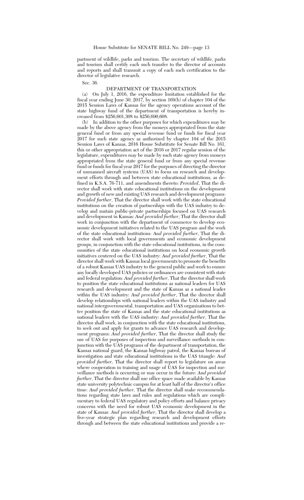partment of wildlife, parks and tourism. The secretary of wildlife, parks and tourism shall certify each such transfer to the director of accounts and reports and shall transmit a copy of each such certification to the director of legislative research.

Sec. 36.

## DEPARTMENT OF TRANSPORTATION

(a) On July 1, 2016, the expenditure limitation established for the fiscal year ending June 30, 2017, by section 169(b) of chapter 104 of the 2015 Session Laws of Kansas for the agency operations account of the state highway fund of the department of transportation is hereby increased from \$256,601,308 to \$256,690,608.

(b) In addition to the other purposes for which expenditures may be made by the above agency from the moneys appropriated from the state general fund or from any special revenue fund or funds for fiscal year 2017 for such state agency as authorized by chapter 104 of the 2015 Session Laws of Kansas, 2016 House Substitute for Senate Bill No. 161, this or other appropriation act of the 2016 or 2017 regular session of the legislature, expenditures may be made by such state agency from moneys appropriated from the state general fund or from any special revenue fund or funds for fiscal year 2017 for the purposes of directing the director of unmanned aircraft systems (UAS) to focus on research and development efforts through and between state educational institutions, as defined in K.S.A. 76-711, and amendments thereto: *Provided*, That the director shall work with state educational institutions on the development and growth of new and existing UAS research and development programs: *Provided further*, That the director shall work with the state educational institutions on the creation of partnerships with the UAS industry to develop and sustain public-private partnerships focused on UAS research and development in Kansas: *And provided further*, That the director shall work in conjunction with the department of commerce to develop economic development initiatives related to the UAS program and the work of the state educational institutions: *And provided further*, That the director shall work with local governments and economic development groups, in conjunction with the state educational institutions, in the communities of the state educational institutions on local economic growth initiatives centered on the UAS industry: *And provided further*, That the director shall work with Kansas local governments to promote the benefits of a robust Kansas UAS industry to the general public and work to ensure any locally developed UAS policies or ordinances are consistent with state and federal regulation: *And provided further*, That the director shall work to position the state educational institutions as national leaders for UAS research and development and the state of Kansas as a national leader within the UAS industry: *And provided further*, That the director shall develop relationships with national leaders within the UAS industry and national intergovernmental, transportation and UAS organizations to better position the state of Kansas and the state educational institutions as national leaders with the UAS industry: *And provided further*, That the director shall work, in conjunction with the state educational institutions, to seek out and apply for grants to advance UAS research and development programs: *And provided further*, That the director shall study the use of UAS for purposes of inspection and surveillance methods in conjunction with the UAS programs of the department of transportation, the Kansas national guard, the Kansas highway patrol, the Kansas bureau of investigation and state educational institutions in the UAS triangle: *And provided further,* That the director shall report to legislature on areas where cooperation in training and usage of UAS for inspection and surveillance methods is occurring or may occur in the future: *And provided further*, That the director shall use office space made available by Kansas state university polytechnic campus for at least half of the director's office time: *And provided further,* That the director shall make recommendations regarding state laws and rules and regulations which are complimentary to federal UAS regulatory and policy efforts and balance privacy concerns with the need for robust UAS economic development in the state of Kansas: *And provided further*, That the director shall develop a five-year strategic plan regarding research and development efforts through and between the state educational institutions and provide a re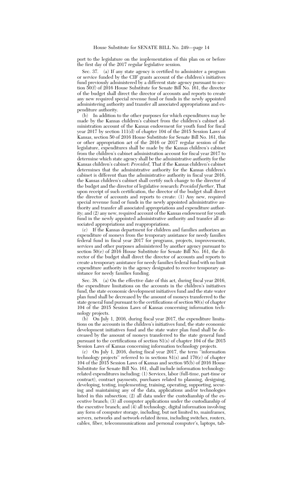port to the legislature on the implementation of this plan on or before the first day of the 2017 regular legislative session.

Sec. 37. (a) If any state agency is certified to administer a program or service funded by the CIF grants account of the children's initiatives fund previously administered by a different state agency pursuant to section 50(f) of 2016 House Substitute for Senate Bill No. 161, the director of the budget shall direct the director of accounts and reports to create any new required special revenue fund or funds in the newly appointed administering authority and transfer all associated appropriations and expenditure authority.

(b) In addition to the other purposes for which expenditures may be made by the Kansas children's cabinet from the children's cabinet administration account of the Kansas endowment for youth fund for fiscal year 2017 by section 111(d) of chapter 104 of the 2015 Session Laws of Kansas, section 50 of 2016 House Substitute for Senate Bill No. 161, this or other appropriation act of the 2016 or 2017 regular session of the legislature, expenditures shall be made by the Kansas children's cabinet from the children's cabinet administration account for fiscal year 2017 to determine which state agency shall be the administrative authority for the Kansas children's cabinet: *Provided,* That if the Kansas children's cabinet determines that the administrative authority for the Kansas children's cabinet is different than the administrative authority in fiscal year 2016, the Kansas children's cabinet shall certify such change to the director of the budget and the director of legislative research: *Provided further,* That upon receipt of such certification, the director of the budget shall direct the director of accounts and reports to create: (1) Any new, required special revenue fund or funds in the newly appointed administrative authority and transfer all associated appropriations and expenditure authority; and (2) any new, required account of the Kansas endowment for youth fund in the newly appointed administrative authority and transfer all associated appropriations and reappropriations.

(c) If the Kansas department for children and families authorizes an expenditure of moneys from the temporary assistance for needy families federal fund in fiscal year 2017 for programs, projects, improvements, services and other purposes administered by another agency pursuant to section 50(e) of 2016 House Substitute for Senate Bill No. 161, the director of the budget shall direct the director of accounts and reports to create a temporary assistance for needy families federal fund with no limit expenditure authority in the agency designated to receive temporary assistance for needy families funding.

Sec. 38. (a) On the effective date of this act, during fiscal year 2016, the expenditure limitations on the accounts in the children's initiatives fund, the state economic development initiatives fund and the state water plan fund shall be decreased by the amount of moneys transferred to the state general fund pursuant to the certifications of section 80(s) of chapter 104 of the 2015 Session Laws of Kansas concerning information technology projects.

(b) On July 1, 2016, during fiscal year 2017, the expenditure limitations on the accounts in the children's initiatives fund, the state economic development initiatives fund and the state water plan fund shall be decreased by the amount of moneys transferred to the state general fund pursuant to the certifications of section 81(s) of chapter 104 of the 2015 Session Laws of Kansas concerning information technology projects.

(c) On July 1, 2016, during fiscal year 2017, the term ''information technology projects'' referred to in sections 81(s) and 170(c) of chapter 104 of the 2015 Session Laws of Kansas and section 95(b) of 2016 House Substitute for Senate Bill No. 161, shall include information technologyrelated expenditures including: (1) Services, labor (full-time, part-time or contract), contract payments, purchases related to planning, designing, developing, testing, implementing, training, operating, supporting, securing and maintaining any of the data, applications and/or technologies listed in this subsection; (2) all data under the custodianship of the executive branch; (3) all computer applications under the custodianship of the executive branch; and  $(4)$  all technology, digital information involving any form of computer storage, including, but not limited to, mainframes, servers, networks and network-related items, including switches, routers, cables, fiber, telecommunications and personal computer's, laptops, tab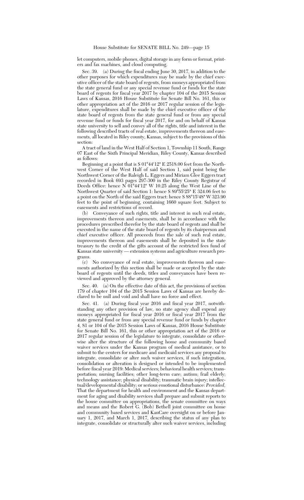let computers, mobile phones, digital storage in any form or format, printers and fax machines, and cloud computing.

Sec. 39. (a) During the fiscal ending June 30, 2017, in addition to the other purposes for which expenditures may be made by the chief executive officer of the state board of regents, from moneys appropriated from the state general fund or any special revenue fund or funds for the state board of regents for fiscal year 2017 by chapter 104 of the 2015 Session Laws of Kansas, 2016 House Substitute for Senate Bill No. 161, this or other appropriation act of the 2016 or 2017 regular session of the legislature, expenditures shall be made by the chief executive officer of the state board of regents from the state general fund or from any special revenue fund or funds for fiscal year  $2017$ , for and on behalf of Kansas state university to sell and convey all of the rights, title and interest in the following described tracts of real estate, improvements thereon and easements, all located in Riley county, Kansas, subject to the provisions of this section:

A tract of land in the West Half of Section 1, Township 11 South, Range 07 East of the Sixth Principal Meridian, Riley County, Kansas described as follows:

Beginning at a point that is S 01°44'12" E 2518.00 feet from the Northwest Corner of the West Half of said Section 1, said point being the Northwest Corner of the Raleigh L. Eggers and Miriam Glee Eggers tract recorded in Book 693 pages 297-300 in the Riley County Registrar of Deeds Office: hence N  $01^{\circ}44'12''$  W 10.25 along the West Line of the Northwest Quarter of said Section 1: hence S 89°55'25" E 324.06 feet to a point on the North of the said Eggers tract: hence S 88°15'48" W 323.90 feet to the point of beginning, containing 1660 square feet. Subject to easements and restrictions of record.

(b) Conveyance of such rights, title and interest in such real estate, improvements thereon and easements, shall be in accordance with the procedures prescribed therefor by the state board of regents and shall be executed in the name of the state board of regents by its chairperson and chief executive officer. All proceeds from the sale of such real estate, improvements thereon and easements shall be deposited in the state treasury to the credit of the gifts account of the restricted fees fund of Kansas state university — extension systems and agriculture research programs.

(c) No conveyance of real estate, improvements thereon and easements authorized by this section shall be made or accepted by the state board of regents until the deeds, titles and conveyances have been reviewed and approved by the attorney general.

Sec. 40. (a) On the effective date of this act, the provisions of section 179 of chapter 104 of the 2015 Session Laws of Kansas are hereby declared to be null and void and shall have no force and effect.

Sec. 41. (a) During fiscal year 2016 and fiscal year 2017, notwithstanding any other provision of law, no state agency shall expend any moneys appropriated for fiscal year 2016 or fiscal year 2017 from the state general fund or from any special revenue fund or funds by chapter 4, 81 or 104 of the 2015 Session Laws of Kansas, 2016 House Substitute for Senate Bill No. 161, this or other appropriation act of the 2016 or 2017 regular session of the legislature to integrate, consolidate or otherwise alter the structure of the following home and community based waiver services under the Kansas program of medical assistance, or to submit to the centers for medicare and medicaid services any proposal to integrate, consolidate or alter such waiver services, if such integration, consolidation or alteration is designed or intended to be implemented before fiscal year 2019: Medical services; behavioral health services; transportation; nursing facilities; other long-term care; autism; frail elderly; technology assistance; physical disability; traumatic brain injury; intellectual/developmental disability; or serious emotional disturbance: *Provided,* That the department for health and environment and the Kansas department for aging and disability services shall prepare and submit reports to the house committee on appropriations, the senate committee on ways and means and the Robert G. (Bob) Bethell joint committee on home and community based services and KanCare oversight on or before January 1, 2017, and March 1, 2017, describing the status of any plan to integrate, consolidate or structurally alter such waiver services, including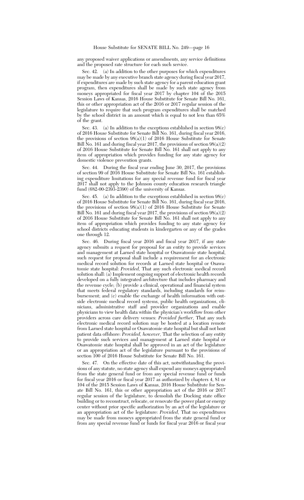any proposed waiver applications or amendments, any service definitions and the proposed rate structure for each such service.

Sec. 42. (a) In addition to the other purposes for which expenditures may be made by any executive branch state agency during fiscal year 2017, if expenditures are made by such state agency for a parent education grant program, then expenditures shall be made by such state agency from moneys appropriated for fiscal year 2017 by chapter 104 of the 2015 Session Laws of Kansas, 2016 House Substitute for Senate Bill No. 161, this or other appropriation act of the 2016 or 2017 regular session of the legislature to require that such program expenditures shall be matched by the school district in an amount which is equal to not less than 65% of the grant.

Sec. 43. (a) In addition to the exceptions established in section 98(c) of 2016 House Substitute for Senate Bill No. 161, during fiscal year 2016, the provisions of section  $98(a)(1)$  of 2016 House Substitute for Senate Bill No. 161 and during fiscal year 2017, the provisions of section 98(a)(2) of 2016 House Substitute for Senate Bill No. 161 shall not apply to any item of appropriation which provides funding for any state agency for domestic violence prevention grants.

Sec. 44. During the fiscal year ending June 30, 2017, the provisions of section 99 of 2016 House Substitute for Senate Bill No. 161 establishing expenditure limitations for any special revenue fund for fiscal year 2017 shall not apply to the Johnson county education research triangle fund (682-00-2393-2390) of the university of Kansas.

Sec. 45. (a) In addition to the exceptions established in section 98(c) of 2016 House Substitute for Senate Bill No. 161, during fiscal year 2016, the provisions of section  $98(a)(1)$  of 2016 House Substitute for Senate Bill No. 161 and during fiscal year 2017, the provisions of section 98(a)(2) of 2016 House Substitute for Senate Bill No. 161 shall not apply to any item of appropriation which provides funding to any state agency for school districts educating students in kindergarten or any of the grades one through 12.

Sec. 46. During fiscal year 2016 and fiscal year 2017, if any state agency submits a request for proposal for an entity to provide services and management at Larned state hospital or Osawatomie state hospital, such request for proposal shall include a requirement for an electronic medical record solution for records at Larned state hospital or Osawatomie state hospital: *Provided,* That any such electronic medical record solution shall: (a) Implement ongoing support of electronic health records developed on a fully integrated architecture that includes pharmacy and the revenue cycle; (b) provide a clinical, operational and financial system that meets federal regulatory standards, including standards for reimbursement; and (c) enable the exchange of health information with outside electronic medical record systems, public health organizations, clinicians, administrative staff and provider organizations and enable physicians to view health data within the physician's workflow from other providers across care delivery venues: *Provided further,* That any such electronic medical record solution may be hosted at a location remote from Larned state hospital or Osawatomie state hospital but shall not host patient data offshore: *Provided, however,* That the selection of any entity to provide such services and management at Larned state hospital or Osawatomie state hospital shall be approved in an act of the legislature or an appropriation act of the legislature pursuant to the provisions of section 100 of 2016 House Substitute for Senate Bill No. 161.

Sec. 47. On the effective date of this act, notwithstanding the provisions of any statute, no state agency shall expend any moneys appropriated from the state general fund or from any special revenue fund or funds for fiscal year 2016 or fiscal year 2017 as authorized by chapters 4, 81 or 104 of the 2015 Session Laws of Kansas, 2016 House Substitute for Senate Bill No. 161, this or other appropriation act of the 2016 or 2017 regular session of the legislature, to demolish the Docking state office building or to reconstruct, relocate, or renovate the power plant or energy center without prior specific authorization by an act of the legislature or an appropriation act of the legislature: *Provided,* That no expenditures may be made from moneys appropriated from the state general fund or from any special revenue fund or funds for fiscal year 2016 or fiscal year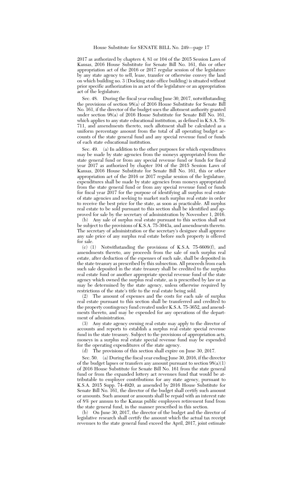2017 as authorized by chapters 4, 81 or 104 of the 2015 Session Laws of Kansas, 2016 House Substitute for Senate Bill No. 161, this or other appropriation act of the 2016 or 2017 regular session of the legislature by any state agency to sell, lease, transfer or otherwise convey the land on which building no. 3 (Docking state office building) is situated without prior specific authorization in an act of the legislature or an appropriation act of the legislature.

Sec. 48. During the fiscal year ending June 30, 2017, notwithstanding the provisions of section 98(a) of 2016 House Substitute for Senate Bill No. 161, if the director of the budget uses the allotment authority granted under section  $98(a)$  of 2016 House Substitute for Senate Bill No. 161, which applies to any state educational institution, as defined in K.S.A. 76- 711, and amendments thereto, such allotment shall be calculated as a uniform percentage amount from the total of all operating budget accounts of the state general fund and any special revenue fund or funds of each state educational institution.

Sec. 49. (a) In addition to the other purposes for which expenditures may be made by state agencies from the moneys appropriated from the state general fund or from any special revenue fund or funds for fiscal year 2017 as authorized by chapter 104 of the 2015 Session Laws of Kansas, 2016 House Substitute for Senate Bill No. 161, this or other appropriation act of the 2016 or 2017 regular session of the legislature, expenditures shall be made by state agencies from moneys appropriated from the state general fund or from any special revenue fund or funds for fiscal year 2017 for the purpose of identifying all surplus real estate of state agencies and seeking to market such surplus real estate in order to receive the best price for the state, as soon as practicable. All surplus real estate to be sold pursuant to this section shall be identified and approved for sale by the secretary of administration by November 1, 2016.

(b) Any sale of surplus real estate pursuant to this section shall not be subject to the provisions of K.S.A. 75-3043a, and amendments thereto. The secretary of administration or the secretary's designee shall approve any sale price of any surplus real estate before such property is offered for sale.

(c) (1) Notwithstanding the provisions of K.S.A. 75-6609(f), and amendments thereto, any proceeds from the sale of such surplus real estate, after deduction of the expenses of such sale, shall be deposited in the state treasury as prescribed by this subsection. All proceeds from each such sale deposited in the state treasury shall be credited to the surplus real estate fund or another appropriate special revenue fund of the state agency which owned the surplus real estate, as is prescribed by law or as may be determined by the state agency, unless otherwise required by restrictions of the state's title to the real estate being sold.

(2) The amount of expenses and the costs for each sale of surplus real estate pursuant to this section shall be transferred and credited to the property contingency fund created under K.S.A. 75-3652, and amendments thereto, and may be expended for any operations of the department of administration.

(3) Any state agency owning real estate may apply to the director of accounts and reports to establish a surplus real estate special revenue fund in the state treasury. Subject to the provisions of appropriation acts, moneys in a surplus real estate special revenue fund may be expended for the operating expenditures of the state agency.

(d) The provisions of this section shall expire on June 30, 2017.

Sec. 50. (a) During the fiscal year ending June 30, 2016, if the director of the budget lapses or transfers any amount pursuant to section 98(a)(1) of 2016 House Substitute for Senate Bill No. 161 from the state general fund or from the expanded lottery act revenues fund that would be attributable to employer contributions for any state agency, pursuant to K.S.A. 2015 Supp. 74-4920, as amended by 2016 House Substitute for Senate Bill No. 161, the director of the budget shall certify such amount or amounts. Such amount or amounts shall be repaid with an interest rate of 8% per annum to the Kansas public employees retirement fund from the state general fund, in the manner prescribed in this section.

(b) On June 30, 2017, the director of the budget and the director of legislative research shall certify the amount which the actual tax receipt revenues to the state general fund exceed the April, 2017, joint estimate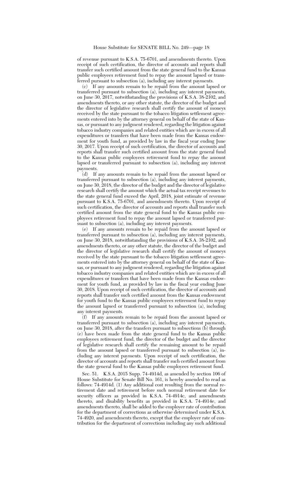of revenue pursuant to K.S.A. 75-6701, and amendments thereto. Upon receipt of such certification, the director of accounts and reports shall transfer such certified amount from the state general fund to the Kansas public employees retirement fund to repay the amount lapsed or transferred pursuant to subsection (a), including any interest payments.

(c) If any amounts remain to be repaid from the amount lapsed or transferred pursuant to subsection (a), including any interest payments, on June 30, 2017, notwithstanding the provisions of K.S.A. 38-2102, and amendments thereto, or any other statute, the director of the budget and the director of legislative research shall certify the amount of moneys received by the state pursuant to the tobacco litigation settlement agreements entered into by the attorney general on behalf of the state of Kansas, or pursuant to any judgment rendered, regarding the litigation against tobacco industry companies and related entities which are in excess of all expenditures or transfers that have been made from the Kansas endowment for youth fund, as provided by law in the fiscal year ending June 30, 2017. Upon receipt of such certification, the director of accounts and reports shall transfer such certified amount from the state general fund to the Kansas public employees retirement fund to repay the amount lapsed or transferred pursuant to subsection (a), including any interest payments.

(d) If any amounts remain to be repaid from the amount lapsed or transferred pursuant to subsection (a), including any interest payments, on June 30, 2018, the director of the budget and the director of legislative research shall certify the amount which the actual tax receipt revenues to the state general fund exceed the April, 2018, joint estimate of revenue pursuant to K.S.A. 75-6701, and amendments thereto. Upon receipt of such certification, the director of accounts and reports shall transfer such certified amount from the state general fund to the Kansas public employees retirement fund to repay the amount lapsed or transferred pursuant to subsection (a), including any interest payments.

(e) If any amounts remain to be repaid from the amount lapsed or transferred pursuant to subsection (a), including any interest payments, on June 30, 2018, notwithstanding the provisions of K.S.A. 38-2102, and amendments thereto, or any other statute, the director of the budget and the director of legislative research shall certify the amount of moneys received by the state pursuant to the tobacco litigation settlement agreements entered into by the attorney general on behalf of the state of Kansas, or pursuant to any judgment rendered, regarding the litigation against tobacco industry companies and related entities which are in excess of all expenditures or transfers that have been made from the Kansas endowment for youth fund, as provided by law in the fiscal year ending June 30, 2018. Upon receipt of such certification, the director of accounts and reports shall transfer such certified amount from the Kansas endowment for youth fund to the Kansas public employees retirement fund to repay the amount lapsed or transferred pursuant to subsection (a), including any interest payments.

(f) If any amounts remain to be repaid from the amount lapsed or transferred pursuant to subsection (a), including any interest payments, on June 30, 2018, after the transfers pursuant to subsections  $(\tilde{b})$  through (e) have been made from the state general fund to the Kansas public employees retirement fund, the director of the budget and the director of legislative research shall certify the remaining amount to be repaid from the amount lapsed or transferred pursuant to subsection (a), including any interest payments. Upon receipt of such certification, the director of accounts and reports shall transfer such certified amount from the state general fund to the Kansas public employees retirement fund.

Sec. 51. K.S.A. 2015 Supp. 74-4914d, as amended by section 106 of House Substitute for Senate Bill No. 161, is hereby amended to read as follows: 74-4914d. (1) Any additional cost resulting from the normal retirement date and retirement before such normal retirement date for security officers as provided in K.S.A. 74-4914c, and amendments thereto, and disability benefits as provided in K.S.A. 74-4914e, and amendments thereto, shall be added to the employer rate of contribution for the department of corrections as otherwise determined under K.S.A. 74-4920, and amendments thereto, except that the employer rate of contribution for the department of corrections including any such additional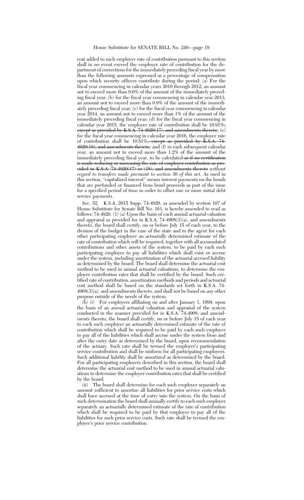#### House Substitute for SENATE BILL No. 249—page 19

cost added to such employer rate of contribution pursuant to this section shall in no event exceed the employer rate of contribution for the department of corrections for the immediately preceding fiscal year by more than the following amounts expressed as a percentage of compensation upon which security officers contribute during the period: (a) For the fiscal year commencing in calendar years 2010 through 2012, an amount not to exceed more than 0.6% of the amount of the immediately preceding fiscal year; (b) for the fiscal year commencing in calendar year 2013, an amount not to exceed more than 0.9% of the amount of the immediately preceding fiscal year; (c) for the fiscal year commencing in calendar year 2014, an amount not to exceed more than 1% of the amount of the immediately preceding fiscal year; (d) for the fiscal year commencing in calendar year 2015, the employer rate of contribution shall be  $10.91\%$ ,  $e$ xcept as provided by K.S.A. 74-4920(17), and amendments thereto;  $(e)$ for the fiscal year commencing in calendar year 2016, the employer rate of contribution shall be  $10.\overline{81\%}$ , except as provided by  $\overline{K.S.A. 74}$  $4920(18)$ , and amendments thereto; and  $(f)$  in each subsequent calendar year, an amount not to exceed more than 1.2% of the amount of the immediately preceding fiscal year, to be calculated as if no certification is made reducing or increasing the rate of employer contribution as provided in K.S.A. 74-4920(17) or (18), and amendments thereto *without regard to transfers made pursuant to section 50 of this act*. As used in this section, "capitalized interest" means interest payments on the bonds that are prefunded or financed from bond proceeds as part of the issue for a specified period of time in order to offset one or more initial debt service payments.

Sec. 52. K.S.A. 2015 Supp. 74-4920, as amended by section 107 of House Substitute for Senate Bill No. 161, is hereby amended to read as follows: 74-4920. (1) (a) Upon the basis of each annual actuarial valuation and appraisal as provided for in K.S.A. 74-4908(3)(a), and amendments thereto, the board shall certify, on or before July 15 of each year, to the division of the budget in the case of the state and to the agent for each other participating employer an actuarially determined estimate of the rate of contribution which will be required, together with all accumulated contributions and other assets of the system, to be paid by each such participating employer to pay all liabilities which shall exist or accrue under the system, including amortization of the actuarial accrued liability as determined by the board. The board shall determine the actuarial cost method to be used in annual actuarial valuations, to determine the employer contribution rates that shall be certified by the board. Such certified rate of contribution, amortization methods and periods and actuarial cost method shall be based on the standards set forth in K.S.A. 74- 4908(3)(a), and amendments thereto, and shall not be based on any other purpose outside of the needs of the system.

(b) (i) For employers affiliating on and after January 1, 1999, upon the basis of an annual actuarial valuation and appraisal of the system conducted in the manner provided for in K.S.A. 74-4908, and amendments thereto, the board shall certify, on or before July 15 of each year to each such employer an actuarially determined estimate of the rate of contribution which shall be required to be paid by each such employer to pay all of the liabilities which shall accrue under the system from and after the entry date as determined by the board, upon recommendation of the actuary. Such rate shall be termed the employer's participating service contribution and shall be uniform for all participating employers. Such additional liability shall be amortized as determined by the board. For all participating employers described in this section, the board shall determine the actuarial cost method to be used in annual actuarial valuations to determine the employer contribution rates that shall be certified by the board.

(ii) The board shall determine for each such employer separately an amount sufficient to amortize all liabilities for prior service costs which shall have accrued at the time of entry into the system. On the basis of such determination the board shall annually certify to each such employer separately an actuarially determined estimate of the rate of contribution which shall be required to be paid by that employer to pay all of the liabilities for such prior service costs. Such rate shall be termed the employer's prior service contribution.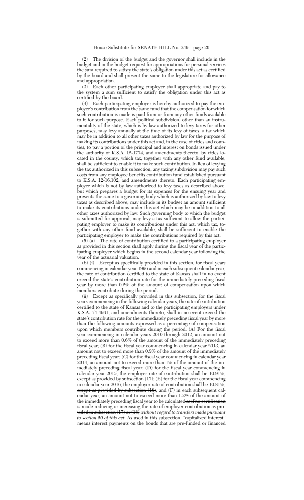(2) The division of the budget and the governor shall include in the budget and in the budget request for appropriations for personal services the sum required to satisfy the state's obligation under this act as certified by the board and shall present the same to the legislature for allowance and appropriation.

(3) Each other participating employer shall appropriate and pay to the system a sum sufficient to satisfy the obligation under this act as certified by the board.

(4) Each participating employer is hereby authorized to pay the employer's contribution from the same fund that the compensation for which such contribution is made is paid from or from any other funds available to it for such purpose. Each political subdivision, other than an instrumentality of the state, which is by law authorized to levy taxes for other purposes, may levy annually at the time of its levy of taxes, a tax which may be in addition to all other taxes authorized by law for the purpose of making its contributions under this act and, in the case of cities and counties, to pay a portion of the principal and interest on bonds issued under the authority of K.S.A. 12-1774, and amendments thereto, by cities located in the county, which tax, together with any other fund available, shall be sufficient to enable it to make such contribution. In lieu of levying the tax authorized in this subsection, any taxing subdivision may pay such costs from any employee benefits contribution fund established pursuant to K.S.A. 12-16,102, and amendments thereto. Each participating employer which is not by law authorized to levy taxes as described above, but which prepares a budget for its expenses for the ensuing year and presents the same to a governing body which is authorized by law to levy taxes as described above, may include in its budget an amount sufficient to make its contributions under this act which may be in addition to all other taxes authorized by law. Such governing body to which the budget is submitted for approval, may levy a tax sufficient to allow the participating employer to make its contributions under this act, which tax, together with any other fund available, shall be sufficient to enable the participating employer to make the contributions required by this act.

(5) (a) The rate of contribution certified to a participating employer as provided in this section shall apply during the fiscal year of the participating employer which begins in the second calendar year following the year of the actuarial valuation.

(b) (i) Except as specifically provided in this section, for fiscal years commencing in calendar year 1996 and in each subsequent calendar year, the rate of contribution certified to the state of Kansas shall in no event exceed the state's contribution rate for the immediately preceding fiscal year by more than 0.2% of the amount of compensation upon which members contribute during the period.

(ii) Except as specifically provided in this subsection, for the fiscal years commencing in the following calendar years, the rate of contribution certified to the state of Kansas and to the participating employers under K.S.A. 74-4931, and amendments thereto, shall in no event exceed the state's contribution rate for the immediately preceding fiscal year by more than the following amounts expressed as a percentage of compensation upon which members contribute during the period: (A) For the fiscal year commencing in calendar years 2010 through 2012, an amount not to exceed more than 0.6% of the amount of the immediately preceding fiscal year; (B) for the fiscal year commencing in calendar year 2013, an amount not to exceed more than 0.9% of the amount of the immediately preceding fiscal year; (C) for the fiscal year commencing in calendar year 2014, an amount not to exceed more than 1% of the amount of the immediately preceding fiscal year; (D) for the fiscal year commencing in calendar year 2015, the employer rate of contribution shall be 10.91%, except as provided by subsection (17); (E) for the fiscal year commencing in calendar year 2016, the employer rate of contribution shall be 10.81%, except as provided by subsection (18); and (F) in each subsequent calendar year, an amount not to exceed more than 1.2% of the amount of the immediately preceding fiscal year to be calculated as if no certification is made reducing or increasing the rate of employer contribution as provided in subsection (17) or (18) *without regard to transfers made pursuant to section 50 of this act*. As used in this subsection, ''capitalized interest'' means interest payments on the bonds that are pre-funded or financed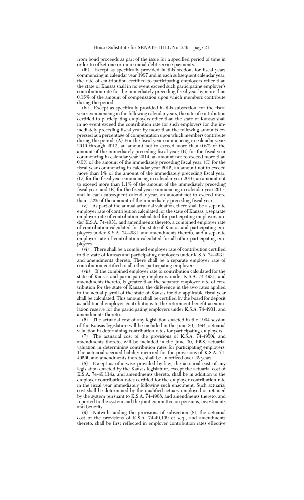from bond proceeds as part of the issue for a specified period of time in order to offset one or more initial debt service payments.

(iii) Except as specifically provided in this section, for fiscal years commencing in calendar year 1997 and in each subsequent calendar year, the rate of contribution certified to participating employers other than the state of Kansas shall in no event exceed such participating employer's contribution rate for the immediately preceding fiscal year by more than 0.15% of the amount of compensation upon which members contribute during the period.

(iv) Except as specifically provided in this subsection, for the fiscal years commencing in the following calendar years, the rate of contribution certified to participating employers other than the state of Kansas shall in no event exceed the contribution rate for such employers for the immediately preceding fiscal year by more than the following amounts expressed as a percentage of compensation upon which members contribute during the period: (A) For the fiscal year commencing in calendar years 2010 through 2013, an amount not to exceed more than 0.6% of the amount of the immediately preceding fiscal year; (B) for the fiscal year commencing in calendar year 2014, an amount not to exceed more than 0.9% of the amount of the immediately preceding fiscal year; (C) for the fiscal year commencing in calendar year 2015, an amount not to exceed more than 1% of the amount of the immediately preceding fiscal year; (D) for the fiscal year commencing in calendar year 2016, an amount not to exceed more than 1.1% of the amount of the immediately preceding fiscal year; and  $(E)$  for the fiscal year commencing in calendar year 2017 and in each subsequent calendar year, an amount not to exceed more than 1.2% of the amount of the immediately preceding fiscal year.

(v) As part of the annual actuarial valuation, there shall be a separate employer rate of contribution calculated for the state of Kansas, a separate employer rate of contribution calculated for participating employers under K.S.A. 74-4931, and amendments thereto, a combined employer rate of contribution calculated for the state of Kansas and participating employers under K.S.A. 74-4931, and amendments thereto, and a separate employer rate of contribution calculated for all other participating employers.

(vi) There shall be a combined employer rate of contribution certified to the state of Kansas and participating employers under K.S.A. 74-4931, and amendments thereto. There shall be a separate employer rate of contribution certified to all other participating employers.

(vii) If the combined employer rate of contribution calculated for the state of Kansas and participating employers under K.S.A. 74-4931, and amendments thereto, is greater than the separate employer rate of contribution for the state of Kansas, the difference in the two rates applied to the actual payroll of the state of Kansas for the applicable fiscal year shall be calculated. This amount shall be certified by the board for deposit as additional employer contributions to the retirement benefit accumulation reserve for the participating employers under K.S.A. 74-4931, and amendments thereto.

(6) The actuarial cost of any legislation enacted in the 1994 session of the Kansas legislature will be included in the June 30, 1994, actuarial valuation in determining contribution rates for participating employers.

The actuarial cost of the provisions of K.S.A. 74-4950i, and amendments thereto, will be included in the June 30, 1998, actuarial valuation in determining contribution rates for participating employers. The actuarial accrued liability incurred for the provisions of K.S.A. 74- 4950i, and amendments thereto, shall be amortized over 15 years.

(8) Except as otherwise provided by law, the actuarial cost of any legislation enacted by the Kansas legislature, except the actuarial cost of K.S.A. 74-49,114a, and amendments thereto, shall be in addition to the employer contribution rates certified for the employer contribution rate in the fiscal year immediately following such enactment. Such actuarial cost shall be determined by the qualified actuary employed or retained by the system pursuant to K.S.A. 74-4908, and amendments thereto, and reported to the system and the joint committee on pensions, investments and benefits.

(9) Notwithstanding the provisions of subsection (8), the actuarial cost of the provisions of K.S.A. 74-49,109 et seq., and amendments thereto, shall be first reflected in employer contribution rates effective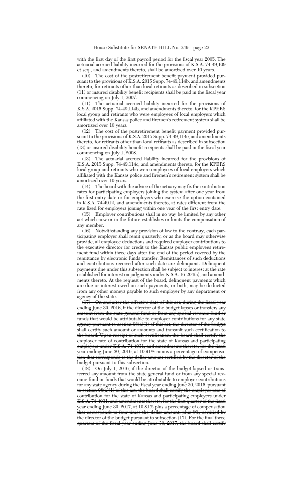with the first day of the first payroll period for the fiscal year 2005. The actuarial accrued liability incurred for the provisions of K.S.A. 74-49,109 et seq., and amendments thereto, shall be amortized over 10 years.

(10) The cost of the postretirement benefit payment provided pursuant to the provisions of  $\tilde{K}$ .S.A. 2015 Supp. 74-49,114b, and amendments thereto, for retirants other than local retirants as described in subsection (11) or insured disability benefit recipients shall be paid in the fiscal year commencing on July 1, 2007.

(11) The actuarial accrued liability incurred for the provisions of K.S.A. 2015 Supp. 74-49,114b, and amendments thereto, for the KPERS local group and retirants who were employees of local employers which affiliated with the Kansas police and firemen's retirement system shall be amortized over 10 years.

(12) The cost of the postretirement benefit payment provided pursuant to the provisions of K.S.A. 2015 Supp. 74-49,114c, and amendments thereto, for retirants other than local retirants as described in subsection (13) or insured disability benefit recipients shall be paid in the fiscal year commencing on July 1, 2008.

(13) The actuarial accrued liability incurred for the provisions of K.S.A. 2015 Supp. 74-49,114c, and amendments thereto, for the KPERS local group and retirants who were employees of local employers which affiliated with the Kansas police and firemen's retirement system shall be amortized over 10 years.

(14) The board with the advice of the actuary may fix the contribution rates for participating employers joining the system after one year from the first entry date or for employers who exercise the option contained in K.S.A. 74-4912, and amendments thereto, at rates different from the rate fixed for employers joining within one year of the first entry date.

(15) Employer contributions shall in no way be limited by any other act which now or in the future establishes or limits the compensation of any member.

(16) Notwithstanding any provision of law to the contrary, each participating employer shall remit quarterly, or as the board may otherwise provide, all employee deductions and required employer contributions to the executive director for credit to the Kansas public employees retirement fund within three days after the end of the period covered by the remittance by electronic funds transfer. Remittances of such deductions and contributions received after such date are delinquent. Delinquent payments due under this subsection shall be subject to interest at the rate established for interest on judgments under K.S.A. 16-204(a), and amendments thereto. At the request of the board, delinquent payments which are due or interest owed on such payments, or both, may be deducted from any other moneys payable to such employer by any department or agency of the state.

On and after the effective date of this act, during the fiscal year ending June 30, 2016, if the director of the budget lapses or transfers any amount from the state general fund or from any special revenue fund or funds that would be attributable to employer contributions for any state agency pursuant to section  $98(a)(1)$  of this act, the director of the budget shall certify such amount or amounts and transmit such certification to the board. Upon receipt of such certification, the board shall certify the employer rate of contribution for the state of Kansas and participating employers under K.S.A. 74-4931, and amendments thereto, for the fiscal year ending June 30, 2016, at 10.91% minus a percentage of compensation that corresponds to the dollar amount certified by the director of the budget pursuant to this subsection.

(18) On July 1, 2016, if the director of the budget lapsed or transferred any amount from the state general fund or from any special revenue fund or funds that would be attributable to employer contributions for any state agency during the fiscal year ending June 30, 2016, pursuant to section  $98(a)(1)$  of this act, the board shall certify the employer rate of contribution for the state of Kansas and participating employers under K.S.A. 74-4931, and amendments thereto, for the first quarter of the fiscal year ending June 30, 2017, at 10.81% plus a percentage of compensation that corresponds to four times the dollar amount, plus 8%, certified by the director of the budget pursuant to subsection (17). For the final three quarters of the fiscal year ending June 30, 2017, the board shall certify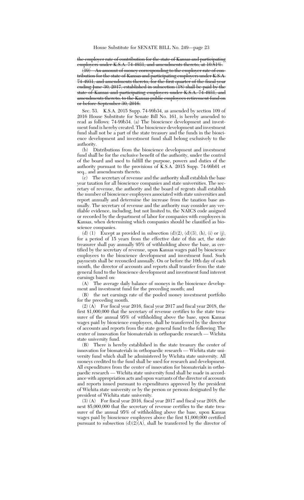the employer rate of contribution for the state of Kansas and participating employers under K.S.A. 74-4931, and amendments thereto, at 10.81%.

(19) An amount of money corresponding to the employer rate of contribution for the state of Kansas and participating employers under K.S.A. 74-4931, and amendments thereto, for the first quarter of the fiscal year ending June 30, 2017, established in subsection (18) shall be paid by the state of Kansas and participating employers under K.S.A. 74-4931, and amendments thereto, to the Kansas public employees retirement fund on or before September 30, 2016.

Sec. 53. K.S.A. 2015 Supp. 74-99b34, as amended by section 109 of 2016 House Substitute for Senate Bill No. 161, is hereby amended to read as follows: 74-99b34. (a) The bioscience development and investment fund is hereby created. The bioscience development and investment fund shall not be a part of the state treasury and the funds in the bioscience development and investment fund shall belong exclusively to the authority.

(b) Distributions from the bioscience development and investment fund shall be for the exclusive benefit of the authority, under the control of the board and used to fulfill the purpose, powers and duties of the authority pursuant to the provisions of K.S.A. 2015 Supp. 74-99b01 et seq., and amendments thereto.

(c) The secretary of revenue and the authority shall establish the base year taxation for all bioscience companies and state universities. The secretary of revenue, the authority and the board of regents shall establish the number of bioscience employees associated with state universities and report annually and determine the increase from the taxation base annually. The secretary of revenue and the authority may consider any verifiable evidence, including, but not limited to, the NAICS code assigned or recorded by the department of labor for companies with employees in Kansas, when determining which companies should be classified as bioscience companies.

(d) (1) Except as provided in subsection (d)(2), (d)(3), (h), (i) or (j), for a period of 15 years from the effective date of this act, the state treasurer shall pay annually 95% of withholding above the base, as certified by the secretary of revenue, upon Kansas wages paid by bioscience employees to the bioscience development and investment fund. Such payments shall be reconciled annually. On or before the 10th day of each month, the director of accounts and reports shall transfer from the state general fund to the bioscience development and investment fund interest earnings based on:<br>(A) The average

The average daily balance of moneys in the bioscience development and investment fund for the preceding month; and

(B) the net earnings rate of the pooled money investment portfolio for the preceding month.

(2) (A) For fiscal year 2016, fiscal year 2017 and fiscal year 2018, the first \$1,000,000 that the secretary of revenue certifies to the state treasurer of the annual 95% of withholding above the base, upon Kansas wages paid by bioscience employees, shall be transferred by the director of accounts and reports from the state general fund to the following: The center of innovation for biomaterials in orthopaedic research — Wichita state university fund.

(B) There is hereby established in the state treasury the center of innovation for biomaterials in orthopaedic research — Wichita state university fund which shall be administered by Wichita state university. All moneys credited to the fund shall be used for research and development. All expenditures from the center of innovation for biomaterials in orthopaedic research — Wichita state university fund shall be made in accordance with appropriation acts and upon warrants of the director of accounts and reports issued pursuant to expenditures approved by the president of Wichita state university or by the person or persons designated by the president of Wichita state university.

(3) (A) For fiscal year 2016, fiscal year 2017 and fiscal year 2018, the next \$5,000,000 that the secretary of revenue certifies to the state treasurer of the annual 95% of withholding above the base, upon Kansas wages paid by bioscience employees above the first \$1,000,000 certified pursuant to subsection  $(d)(2)(A)$ , shall be transferred by the director of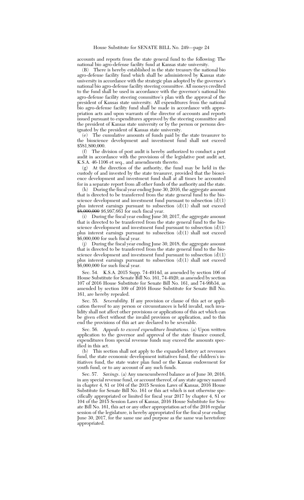accounts and reports from the state general fund to the following: The national bio agro-defense facility fund at Kansas state university.

(B) There is hereby established in the state treasury the national bio agro-defense facility fund which shall be administered by Kansas state university in accordance with the strategic plan adopted by the governor's national bio agro-defense facility steering committee. All moneys credited to the fund shall be used in accordance with the governor's national bio agro-defense facility steering committee's plan with the approval of the president of Kansas state university. All expenditures from the national bio agro-defense facility fund shall be made in accordance with appropriation acts and upon warrants of the director of accounts and reports issued pursuant to expenditures approved by the steering committee and the president of Kansas state university or by the person or persons designated by the president of Kansas state university.

(e) The cumulative amounts of funds paid by the state treasurer to the bioscience development and investment fund shall not exceed \$581,800,000.

(f) The division of post audit is hereby authorized to conduct a post audit in accordance with the provisions of the legislative post audit act, K.S.A. 46-1106 et seq., and amendments thereto.

(g) At the direction of the authority, the fund may be held in the custody of and invested by the state treasurer, provided that the bioscience development and investment fund shall at all times be accounted for in a separate report from all other funds of the authority and the state.

(h) During the fiscal year ending June 30, 2016, the aggregate amount that is directed to be transferred from the state general fund to the bioscience development and investment fund pursuant to subsection (d)(1) plus interest earnings pursuant to subsection (d)(1) shall not exceed \$8,000,000 *\$6,997,663* for such fiscal year.

(i) During the fiscal year ending June 30, 2017, the aggregate amount that is directed to be transferred from the state general fund to the bioscience development and investment fund pursuant to subsection  $(d)(1)$ plus interest earnings pursuant to subsection  $(d)(1)$  shall not exceed \$6,000,000 for such fiscal year.

(j) During the fiscal year ending June 30, 2018, the aggregate amount that is directed to be transferred from the state general fund to the bioscience development and investment fund pursuant to subsection (d)(1) plus interest earnings pursuant to subsection (d)(1) shall not exceed \$6,000,000 for such fiscal year.

Sec. 54. K.S.A. 2015 Supp. 74-4914d, as amended by section 106 of House Substitute for Senate Bill No. 161, 74-4920, as amended by section 107 of 2016 House Substitute for Senate Bill No. 161, and 74-99b34, as amended by section 109 of 2016 House Substitute for Senate Bill No. 161, are hereby repealed.

Sec. 55. *Severability.* If any provision or clause of this act or application thereof to any person or circumstances is held invalid, such invalidity shall not affect other provisions or applications of this act which can be given effect without the invalid provision or application, and to this end the provisions of this act are declared to be severable.

Sec. 56. *Appeals to exceed expenditure limitations.* (a) Upon written application to the governor and approval of the state finance council, expenditures from special revenue funds may exceed the amounts specified in this act.

(b) This section shall not apply to the expanded lottery act revenues fund, the state economic development initiatives fund, the children's initiatives fund, the state water plan fund or the Kansas endowment for youth fund, or to any account of any such funds.

Sec. 57. *Savings*. (a) Any unencumbered balance as of June 30, 2016, in any special revenue fund, or account thereof, of any state agency named in chapter 4, 81 or 104 of the 2015 Session Laws of Kansas, 2016 House Substitute for Senate Bill No. 161 or this act which is not otherwise specifically appropriated or limited for fiscal year 2017 by chapter 4, 81 or 104 of the 2015 Session Laws of Kansas, 2016 House Substitute for Senate Bill No. 161, this act or any other appropriation act of the 2016 regular session of the legislature, is hereby appropriated for the fiscal year ending June 30, 2017, for the same use and purpose as the same was heretofore appropriated.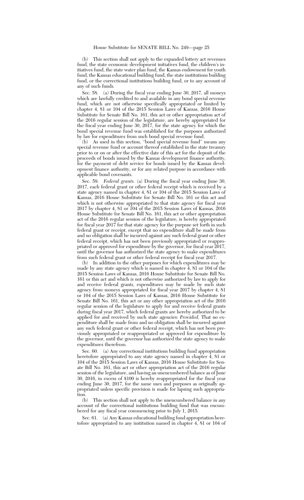(b) This section shall not apply to the expanded lottery act revenues fund, the state economic development initiatives fund, the children's initiatives fund, the state water plan fund, the Kansas endowment for youth fund, the Kansas educational building fund, the state institutions building fund, or the correctional institutions building fund, or to any account of any of such funds.

Sec. 58. (a) During the fiscal year ending June 30, 2017, all moneys which are lawfully credited to and available in any bond special revenue fund, which are not otherwise specifically appropriated or limited by chapter 4, 81 or 104 of the 2015 Session Laws of Kansas, 2016 House Substitute for Senate Bill No. 161, this act or other appropriation act of the 2016 regular session of the legislature, are hereby appropriated for the fiscal year ending June 30, 2017, for the state agency for which the bond special revenue fund was established for the purposes authorized by law for expenditures from such bond special revenue fund.

(b) As used in this section, ''bond special revenue fund'' means any special revenue fund or account thereof established in the state treasury prior to or on or after the effective date of this act for the deposit of the proceeds of bonds issued by the Kansas development finance authority, for the payment of debt service for bonds issued by the Kansas development finance authority, or for any related purpose in accordance with applicable bond covenants.

Sec. 59. *Federal grants.* (a) During the fiscal year ending June 30, 2017, each federal grant or other federal receipt which is received by a state agency named in chapter 4, 81 or 104 of the 2015 Session Laws of Kansas, 2016 House Substitute for Senate Bill No. 161 or this act and which is not otherwise appropriated to that state agency for fiscal year 2017 by chapter 4, 81 or 104 of the 2015 Session Laws of Kansas, 2016 House Substitute for Senate Bill No. 161, this act or other appropriation act of the 2016 regular session of the legislature, is hereby appropriated for fiscal year 2017 for that state agency for the purpose set forth in such federal grant or receipt, except that no expenditure shall be made from and no obligation shall be incurred against any such federal grant or other federal receipt, which has not been previously appropriated or reappropriated or approved for expenditure by the governor, for fiscal year 2017, until the governor has authorized the state agency to make expenditures from such federal grant or other federal receipt for fiscal year 2017.

(b) In addition to the other purposes for which expenditures may be made by any state agency which is named in chapter  $\overline{4}$ , 81 or 104 of the 2015 Session Laws of Kansas, 2016 House Substitute for Senate Bill No. 161 or this act and which is not otherwise authorized by law to apply for and receive federal grants, expenditures may be made by such state agency from moneys appropriated for fiscal year 2017 by chapter 4, 81 or 104 of the 2015 Session Laws of Kansas, 2016 House Substitute for Senate Bill No. 161, this act or any other appropriation act of the 2016 regular session of the legislature to apply for and receive federal grants during fiscal year 2017, which federal grants are hereby authorized to be applied for and received by such state agencies: *Provided,* That no expenditure shall be made from and no obligation shall be incurred against any such federal grant or other federal receipt, which has not been previously appropriated or reappropriated or approved for expenditure by the governor, until the governor has authorized the state agency to make expenditures therefrom.

Sec. 60. (a) Any correctional institutions building fund appropriation heretofore appropriated to any state agency named in chapter 4, 81 or 104 of the 2015 Session Laws of Kansas, 2016 House Substitute for Senate Bill No. 161, this act or other appropriation act of the 2016 regular session of the legislature, and having an unencumbered balance as of June 30, 2016, in excess of \$100 is hereby reappropriated for the fiscal year ending June 30, 2017, for the same uses and purposes as originally appropriated unless specific provision is made for lapsing such appropriation.<br> $(b)$ 

This section shall not apply to the unencumbered balance in any account of the correctional institutions building fund that was encumbered for any fiscal year commencing prior to July 1, 2015.

Sec. 61. (a) Any Kansas educational building fund appropriation heretofore appropriated to any institution named in chapter 4, 81 or 104 of